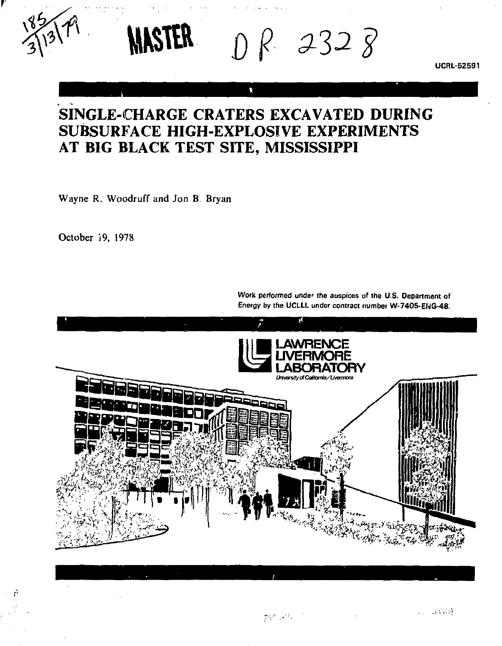**UCRL-52591** 

# **SINGLE-CHARGE CRATERS EXCAVATED DURING SUBSURFACE HIGH-EXPLOSIVE EXPERIMENTS AT BIG BLACK TEST SITE, MISSISSIPPI**

**WASTER**  $\bigcap$  *R* 232  $\overline{g}$ 

h.

Wayne R. Woodruff and Jon B. Bryan

October 19, 1978

**li I •LAWRENCE lir a LIVERMORE k ^ l LABORATORY** 

**Work performed under the auspices of the U.S. Department of Energy by the UCLLL under contract number W-7405-EIVG-48.**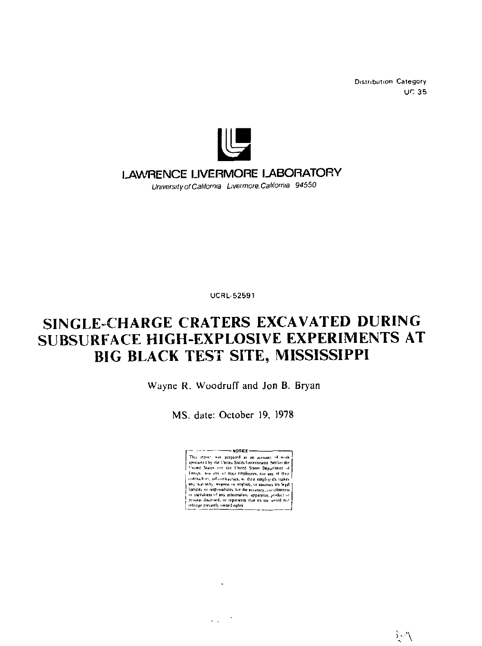**Distribution Category**  $UC$  35



## LAWRENCE LIVERMORE LABORATORY

University of California Livermore California 94550

**UCRL-52591** 

# SINGLE-CHARGE CRATERS EXCAVATED DURING SUBSURFACE HIGH-EXPLOSIVE EXPERIMENTS AT BIG BLACK TEST SITE, MISSISSIPPI

Wayne R. Woodruff and Jon B. Bryan

MS. date: October 19, 1978



 $\ddot{\phantom{a}}$ 

 $\epsilon_{\rm eff} = 2$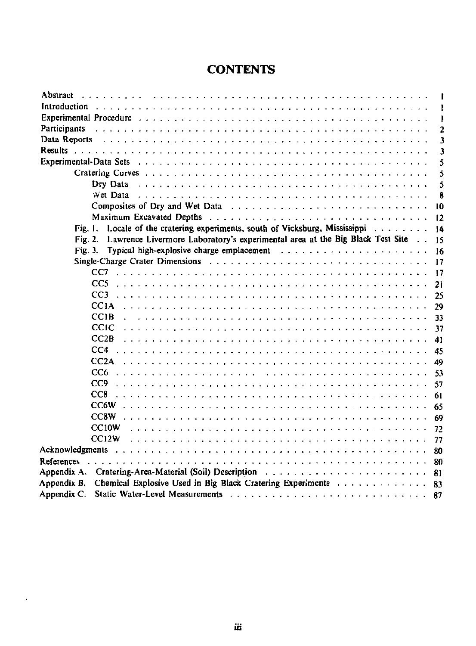## **CONTENTS**

| Abstract                                                                                              |                |
|-------------------------------------------------------------------------------------------------------|----------------|
| Introduction                                                                                          |                |
|                                                                                                       | ı              |
| Participants                                                                                          | $\overline{c}$ |
| Data Reports                                                                                          | 3              |
|                                                                                                       | 3              |
| Experimental-Data Sets                                                                                | 5              |
|                                                                                                       | 5              |
|                                                                                                       | 5              |
| Wet Data $\ldots \ldots \ldots \ldots \ldots \ldots \ldots \ldots \ldots \ldots \ldots \ldots \ldots$ | 8              |
| Composites of Dry and Wet Data                                                                        | 10             |
|                                                                                                       | 12             |
| Locale of the cratering experiments, south of Vicksburg, Mississippi $\ldots$<br>Fig. I.              | 14             |
| Lawrence Livermore Laboratory's experimental area at the Big Black Test Site<br>Fig. 2.               | 15             |
| Fig. 3.                                                                                               | 16             |
| Single-Charge Crater Dimensions $\ldots$ , , , , , , ,                                                | 17             |
| CC7                                                                                                   | 17             |
| CC <sub>5</sub>                                                                                       | 21             |
| CC3                                                                                                   | 25             |
| <b>CC1A</b>                                                                                           | 29             |
| <b>CC1B</b>                                                                                           | 33             |
| CCIC                                                                                                  | 37             |
| CC2B                                                                                                  | 41             |
|                                                                                                       | 45             |
| CC2A                                                                                                  | 49             |
| CC <sub>6</sub>                                                                                       | 53             |
| CC9                                                                                                   | 57             |
| CC8                                                                                                   | 61             |
| $CC6W$ .                                                                                              | 65             |
| CC <sub>8</sub> W.                                                                                    | 69             |
| CC <sub>10</sub> W                                                                                    | 72             |
| CC12W                                                                                                 | 77             |
|                                                                                                       | 80             |
| References                                                                                            | 80             |
| Appendix A.                                                                                           | 81             |
| Appendix B.<br>Chemical Explosive Used in Big Black Cratering Experiments                             | 83             |
| Appendix C.                                                                                           | 87             |

 $\sim$   $-$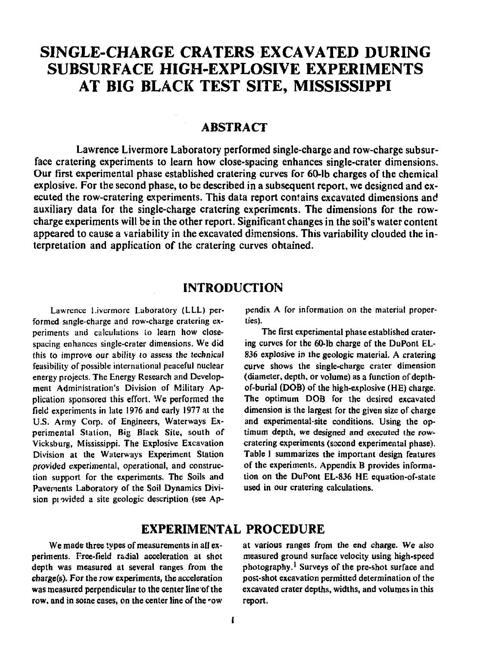## **SINGLE-CHARGE CRATERS EXCAVATED DURING SUBSURFACE HIGH-EXPLOSIVE EXPERIMENTS AT BIG BLACK TEST SITE, MISSISSIPPI**

### **ABSTRACT**

Lawrence Livermore Laboratory performed single-charge and row-charge subsurface cratering experiments to learn how close-spacing enhances single-crater dimensions. Our first experimental phase established cratering curves for 60-lb charges of the chemical explosive. For the second phase, to be described in a subsequent report, we designed and executed the row-cratering experiments. This data report contains excavated dimensions and auxiliary data for the single-charge cratering experiments. The dimensions for the rowcharge experiments will be in the other report. Significant changes in the soil's water content appeared to cause a variability in the excavated dimensions. This variability clouded the interpretation and application of the cratering curves obtained.

### **INTRODUCTION**

Lawrence I.ivermore Laboratory (LLL) performed single-charge and row-charge cratering experiments and calculations to learn how closespacing enhances single-crater dimensions. We did this to improve our ability to assess the technical feasibility of possible international peaceful nuclear energy projects. The Energy Research and Development Administration's Division of Military Application sponsored this effort. We performed the field experiments in late 1976 and early 1977 at the U.S. Army Corp. of Engineers, Waterways Experimental Station, Big Black Site, south of Vicksburg, Mississippi. The Explosive Excavation Division at the Waterways Experiment Station provided experimental, operational, and construction support for the experiments. The Soils and Pavements Laboratory of the Soil Dynamics Division provided a site geologic description (see Appendix A for information on the material properties).

The first experimental phase established cratering curves for the 60-lb charge of the DuPont EL-836 explosive in the geologic material. A cratering curve shows the single-charge crater dimension (diameter, depth, or volume) as a function of depthof-burial (DOB) of the high-explosive (HE) charge. The optimum DOB for the desired excavated dimension is the largest for the given size of charge and experimental-site conditions. Using the optimum depth, we designed and executed the rowcratering experiments (sscond experimental phase). Table 1 summarizes the important design features of the experiments. Appendix B provides information on the DuPont EL-836 HE equation-of-state used in our cratering calculations.

## **EXPERIMENTAL PROCEDURE**

We made three types of measurements in all experiments. Free-field radial acceleration at shot depth was measured at several ranges from the charge(s). For the row experiments, the acceleration was measured perpendicular to the center line of the row, and in some cases, on the center line of the 'ow

at various ranges from the end charge. We also measured ground surface velocity using high-speed photography.<sup>1</sup> Surveys of the pre-shot surface and post-shot excavation permitted determination of the excavated crater depths, widths, and volumes in this report.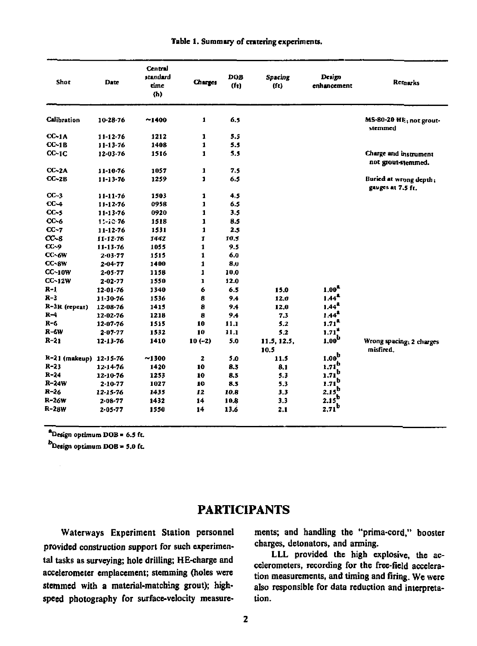| Shot                   | Date           | Central<br>standard<br>time<br>(n) | Charges        | DOB<br>(f <sub>t</sub> ) | Spacing<br>(f <sub>t</sub> ) | Design<br>enhancement | <b>Remarks</b>                              |
|------------------------|----------------|------------------------------------|----------------|--------------------------|------------------------------|-----------------------|---------------------------------------------|
| Calibration            | 10-28-76       | ~1400                              | 1              | 6.5                      |                              |                       | MS-80-20 HE; not grout-<br>stemmed          |
| $CC-1A$                | $11 - 12 - 76$ | 1212                               | 1              | 5.5                      |                              |                       |                                             |
| $CC-1B$                | $11 - 13 - 76$ | 1408                               | $\mathbf{1}$   | 5.5                      |                              |                       |                                             |
| $CC-1C$                | 12-03-76       | 1516                               | 1              | 5.5                      |                              |                       | Charge and instrument<br>not grout-stemmed. |
| $CC-2A$                | 11-10-76       | 1057                               | 1              | 7.5                      |                              |                       |                                             |
| $CC-2B$                | $11 - 13 - 76$ | 1259                               | $\blacksquare$ | 6.5                      |                              |                       | Buried at wrong depth;<br>gauges at 7.5 ft. |
| $CC-3$                 | 11-11-76       | 1503                               | 1              | 4.5                      |                              |                       |                                             |
| $CC-4$                 | $11 - 12 - 76$ | 0958                               | 1              | 6.5                      |                              |                       |                                             |
| $CC-S$                 | $11 - 13 - 76$ | 0920                               | 1              | 3.5                      |                              |                       |                                             |
| $CC - 6$               | 11-12-76       | 1518                               | $\mathbf{I}$   | 8.5                      |                              |                       |                                             |
| $CC-7$                 | 11-12-76       | 1531                               | 1              | 2.5                      |                              |                       |                                             |
| $CC-8$                 | 11-12-76       | 1442                               | $\mathbf{r}$   | 10.5                     |                              |                       |                                             |
| $CC-9$                 | 11-13-76       | 1055                               | $\mathbf{1}$   | 9.5                      |                              |                       |                                             |
| CC-6W                  | $2 - 03 - 77$  | 1515                               | 1              | 6,0                      |                              |                       |                                             |
| $CC-8W$                | $2 - 04 - 77$  | 1400                               | 1              | 8,0                      |                              |                       |                                             |
| $CC-10W$               | $2 - 05 - 77$  | 1158                               | $\mathbf{1}$   | 10.0                     |                              |                       |                                             |
| CC-12W                 | $2 - 02 - 77$  | 1550                               | ı              | 12.0                     |                              |                       |                                             |
| R-1                    | 12-01-76       | 1340                               | 6              | 6.5                      | 15.0                         | 1.00 <sup>4</sup>     |                                             |
| $R-3$                  | 11-30-76       | 1536                               | 8              | 9.4                      | 12.0                         | $1.44^2$              |                                             |
| R-3R (repeat)          | 12-08-76       | 1415                               | 8              | 94                       | 12.0                         | $1.44^{2}$            |                                             |
| $R-4$                  | $12 - 02 - 76$ | 1218                               | 8              | 9.4                      | 7.3                          | $1.44^{2}$            |                                             |
| $R - 6$                | 12 07 76       | 1515                               | 10             | 11.1                     | 5.2                          | $1.71^{\text{a}}$     |                                             |
| R-6W                   | $2.07 - 77$    | 1532                               | 10             | 11.1                     | 5.2                          | $1.71^{4}$            |                                             |
| $R-21$                 | 12 13 76       | 1410                               | $10(-2)$       | 5.0                      | 11.5.12.5.<br>10.5           | $1.00^{\rm b}$        | Wrong spacing, 2 charges<br>misfired.       |
| R-21 (makeup) 12-15-76 |                | ~1300                              | 2              | 5.0                      | 11.5                         | 1.00 <sup>b</sup>     |                                             |
| $R-23$                 | $12 - 14 - 76$ | 1420                               | 10             | 8.5                      | 8.1                          | $1.71^{0}$            |                                             |
| $R - 24$               | 12-10-76       | 1253                               | 10             | 8.5                      | 5.3                          | $1.71^b$              |                                             |
| $R-24W$                | $2 - 10 - 77$  | 1027                               | 10             | 8.5                      | 5.3                          | $1.71^D$              |                                             |
| $R - 26$               | 12-15-76       | 1435                               | 12             | 10.8                     | 3.3                          | $2.15^{0}$            |                                             |
| R-26W                  | $2 - 08 - 77$  | 1432                               | 14             | 10.8                     | 3.3                          | $2.15^{D}$            |                                             |
| R-28W                  | $2 - 05 - 77$  | 1550                               | 14             | 13.6                     | 2.1                          | $2.71^b$              |                                             |

#### **Table 1. Summary of entering experiments.**

**"Design optimum DOB • 6.5 ft.** 

**Design optimum DOB • S.0 ft.** 

#### **PARTICIPANTS**

**Waterways Experiment Station personnel provided construction support for such experimental tasks as surveying; hole drilling; HE-charge and accelerometer emplacement; stemming (holes were stemmed with a material-matching grout); highspeed photography for surface-velocity measure-** **ments; and handling the "prima-cord," booster charges, detonators, and arming.** 

**LLL provided the high explosive, the accelerometers, recording for the free-field acceleration measurements, and timing and firing. We were also responsible for data reduction and interpretation.**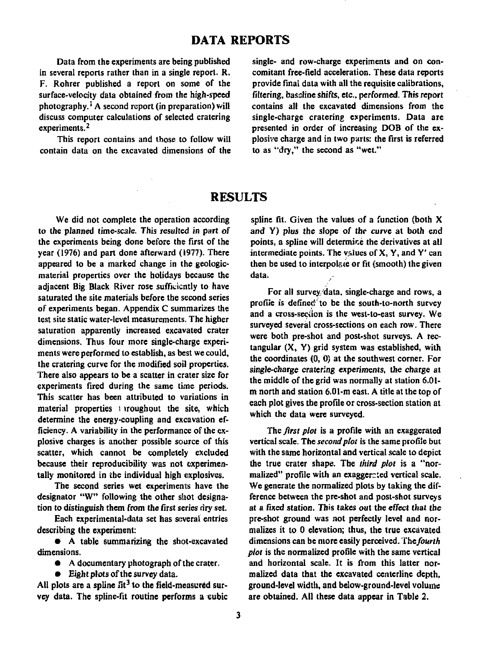#### **DATA REPORTS**

**Data from the experiments are being published in several reports rather than in a single report. R. F. Rohrer published a report on some of the surface-velocity data obtained from the high-speed photography.' A second report (in preparation) will discuss computer calculations of selected cratering experiments.<sup>2</sup>**

**This report contains and those to follow will contain data on the excavated dimensions of the** 

**single- and row-charge experiments and on concomitant free-field acceleration. These data reports provide final data with all the requisite calibrations, filtering, baseline shifts, etc., performed. This report contains all the excavated dimensions from the single-charge cratering experiments. Data are presented in order of increasing DOB of the explosive charge and in two parts: the first is referred to as "dry," the second as "wet."** 

### **RESULTS**

**We did not complete the operation according to the planned time-scale. This resulted in part of the experiments being done before the first of the year (1976) and part done afterward (1977). There appeared to be a marked change in the geologicmaterial properties over the holidays because the adjacent Big Black River rose sufficiently to have saturated the site materials before the second series of experiments began. Appendix C summarizes the test site static water-level measurements. The higher saturation apparently increased excavated crater dimensions. Thus four more single-charge experiments were performed to establish, as best we could, the cratering curve for the modified soil properties. There also appears to be a scatter in crater size for experiments fired during the same time periods. This scatter has been attributed to variations in material properties ; iroughout the site, which determine the energy-coupling and excavation efficiency. A variability in the performance of the explosive charges is another possible source of this scatter, which cannot be completely excluded because their reproducibility was not experimentally monitored in the individual high explosives.** 

**The second series wet experiments have the designator "W" following the other shot designation to distinguish them from the first series dry set.** 

**Each experimental-data set has several entries describing the experiment:** 

**• A table summarizing the shot-excavated dimensions.** 

**• A documentary photograph of the crater.** 

**• Eight plots of the survey data.** 

**All plots are a spline fit<sup>3</sup> to the field-measured survey data. The spline-fit routine performs a cubic** 

**spline fit. Given the values of a function (both X and Y) plus the slope of the curve at both end points, a spline will determine the derivatives at all intermediate points. The values of X, Y, and Y' can**  then be used to interpolate or fit (smooth) the given **data.** 

**For all survey, data, single-charge and rows, a profile is defined''to be the south-to-north survey and a cross-seciion is the west-to-east survey. We surveyed several cross-sections on each row. There were both pre-shot and post-shot surveys. A rectangular (X, Y) grid system was established, with the coordinates (0, 0) at the southwest corner. For single-charge cratering experiments, the charge at the middle of the grid was normally at station 6.01 m north and station 6.01-m east. A title at the top of each plot gives the profile or cross-section station at which the data were surveyed.** 

*The first plot* **is a profile with an exaggerated vertical scale. The** *second plot* **is the same profile but with the same horizontal and vertical scale to depict the true crater shape. The** *third plot* **is a "normalized" profile with an exaggerated vertical scale. We generate the normalized plots by taking the difference between the pre-shot and post-shot surveys at a fixed station. This takes out the effect that the pre-shot ground was not perfectly level and normalizes it to 0 elevation; thus, the true excavated dimensions can be more easily perceived.** *The fourth plot* **is the normalized profile with the same vertical and horizontal scale. It is from this latter normalized data that the excavated centerline depth, ground-level width, and below-ground-level volume are obtained. All these data appear in Table 2,**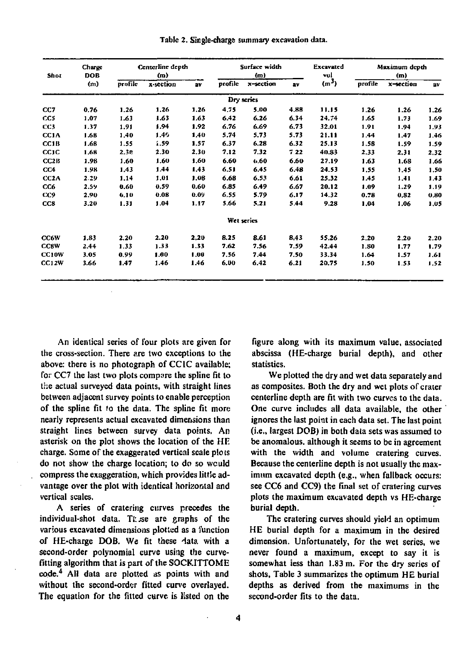| Shot              | Charge<br>DOB |         | Centerline depth<br>(m) |      |         | Surface width<br>(m) |      | <b>Excavated</b><br>val |         | Maximum depth<br>(m) |      |
|-------------------|---------------|---------|-------------------------|------|---------|----------------------|------|-------------------------|---------|----------------------|------|
|                   | (m)           | profile | x-section               | av   | profile | x-section            | av   | $(m^{3})$               | profile | x-section            | av   |
|                   |               |         |                         |      |         | Dry series           |      |                         |         |                      |      |
| CC7               | 0.76          | 1.26    | 1.26                    | 1.26 | 4.75    | 5.00                 | 4.88 | 11.15                   | 1,26    | 1.26                 | 1.26 |
| CCS               | 1.07          | 1.63    | 1.63                    | 1.63 | 6.42    | 6.26                 | 6.34 | 24.74                   | 1.65    | 1.73                 | 1.69 |
| CC3               | 1.37          | 1.91    | 1.94                    | 1.92 | 6.76    | 6.69                 | 6.73 | 32.01                   | 1.91    | 1.94                 | 1.93 |
| CC1A              | 1.68          | 1.40    | 1.49                    | 1.40 | 5.74    | 5.73                 | 5.73 | 21.11                   | 1.44    | 1.47                 | 1.46 |
| CC1B              | 1.68          | 1.55    | 1.59                    | 1.57 | 6.37    | 6.28                 | 6.32 | 25.13                   | 1.58    | 1.59                 | 1.59 |
| CC1C              | 1.68          | 2.30    | 2.30                    | 2.30 | 7.12    | 7.32                 | 7.22 | 40.83                   | 2.33    | 2,31                 | 2,32 |
| CC2B              | 1.98          | 1.60    | 1.60                    | 1.60 | 6.60    | 0.60                 | 6.60 | 27.19                   | 1.63    | 1.68                 | 1,66 |
| CC4               | 1.98          | 1.43    | 1.44                    | 1.43 | 6.51    | 6.45                 | 6.48 | 24.53                   | 1.55    | 1.45                 | 1.50 |
| CC <sub>2</sub> A | 2.29          | 1.14    | 1.01                    | 1.08 | 6.68    | 6.53                 | 6.61 | 25.32                   | 1.45    | 1.41                 | 1.43 |
| CC6               | 2.59          | 0.60    | 0.59                    | 0.60 | 6.85    | 6.49                 | 6.67 | 20.12                   | 1.09    | 1.29                 | 1.19 |
| CC9               | 2.90          | 6.10    | 0.08                    | 0.09 | 6.55    | 5.79                 | 6.17 | 14.32                   | 0.78    | 0.82                 | 0,80 |
| CC8               | 3.20          | 1.31    | 1.04                    | 1.17 | 5.66    | 5.21                 | 5.44 | 9.28                    | 1.04    | 1.06                 | 1.05 |
|                   |               |         |                         |      |         | Wet series           |      |                         |         |                      |      |
| CC6W              | 1.83          | 2.20    | 2.20                    | 2,20 | 8.25    | 8.61                 | 8.43 | 55.26                   | 2.20    | 2.20                 | 2.20 |
| <b>CCSW</b>       | 2.44          | 1.33    | 1.33                    | 1.33 | 7.62    | 7.56                 | 7.59 | 42.44                   | 1.80    | 1.77                 | 1.79 |
| CC10W             | 3.05          | 0.99    | 1.00                    | 1.00 | 7.56    | 7.44                 | 7.50 | 33.34                   | 1.64    | 1.57                 | 1.61 |
| CC12W             | 3.66          | 1.47    | 1.46                    | 1.46 | 6.00    | 6.42                 | 6.21 | 20.75                   | 1.50    | 1.53                 | 1.52 |

Table 2. Single-charge summary excavation data.

An identical series of four plots are given for the cross-section. There are two exceptions to the above: there is no photograph of CCIC available; for CC7 the last two plots compare the spline fit to the actual surveyed data points, with straight lines between adjacent survey points to enable perception of the spline fit to the data. The spline fit more nearly represents actual excavated dimensions than straight lines between survey data points. An asterisk on the plot shows the location of the HE charge. Some of the exaggerated vertical scale plots do not show the charge location; to do so would compress the exaggeration, which provides little advantage over the plot with identical horizontal and vertical scales.

A series of cratering curves precedes the individual-shot data. These are graphs of the various excavated dimensions plotted as a function of HE-charge DOB. We fit these data with a second-order polynomial curve using the curvefitting algorithm that is part of the SOCKITTOME code.<sup>4</sup> All data are plotted as points with and without the second-order fitted curve overlayed. The equation for the fitted curve is listed on the

figure along with its maximum value, associated abscissa (HE-charge burial depth), and other statistics.

We plotted the dry and wet data separately and as composites. Both the dry and wet plots of crater centerline depth are fit with two curves to the data. One curve includes all data available, the other ignores the last point in each data set. The last point (i.e., largest DOB) in both data sets was assumed to be anomalous, although it seems to be in agreement with the width and volume cratering curves. Because the centerline depth is not usually the maximum excavated depth (e.g., when fallback occurs: see CC6 and CC9) the final set of cratering curves plots the maximum excavated depth vs HE-charge burial depth.

The cratering curves should yield an optimum HE burial depth for a maximum in the desired dimension. Unfortunately, for the wet series, we never found a maximum, except to say it is somewhat less than 1.83 m. For the dry series of shots, Table 3 summarizes the optimum HE burial depths as derived from the maximums in the second-order fits to the data.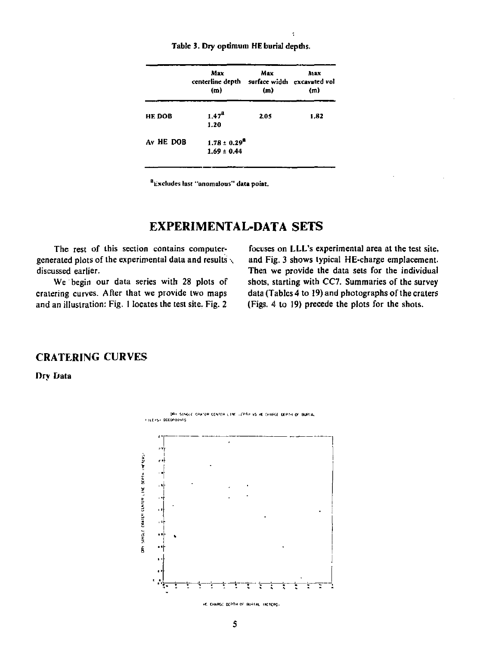|                       | Max<br>centerline depth<br>(m)       | Max<br>surface width excavated vol<br>(m) | Aisx<br>(m) |
|-----------------------|--------------------------------------|-------------------------------------------|-------------|
| HE DOB                | 1.17 <sup>2</sup><br>1.20            | 2.05                                      | 1.82        |
| A <sub>v</sub> HE DOB | $1.78 \pm 0.29^8$<br>$1.69 \pm 0.44$ |                                           |             |

**Table 3. Dry optimum HE burial depths.** 

**Excludes last "anomalous" data point.** 

### **EXPERIMENTAL-DATA SETS**

**The rest of this section contains computergenerated plots of the experimental data and results \ discussed earlier.** 

**We begin our data series with 28 plots of cratering curves. After that we provide two maps and an illustration: Fig. 1 locates the test site. Fig. 2** 

**focuses on LLL's experimental area at the test site, and Fig. 3 shows typical HE-charge emplacement. Then we provide the data sets for the individual shots, starting with CC7. Summaries of the survey data (Tables 4 to 19) and photographs of the craters (Figs. 4 to 19) precede the plots for the shots.** 

#### **CRATERING CURVES**

**Drv Data** 



DR) SINGLE CRATER CENTER LINE LEPTH VS HE CHARGE DEPTH OF BURIAL

\*C. CHARGE DEPTH OF BURTAL THETERS.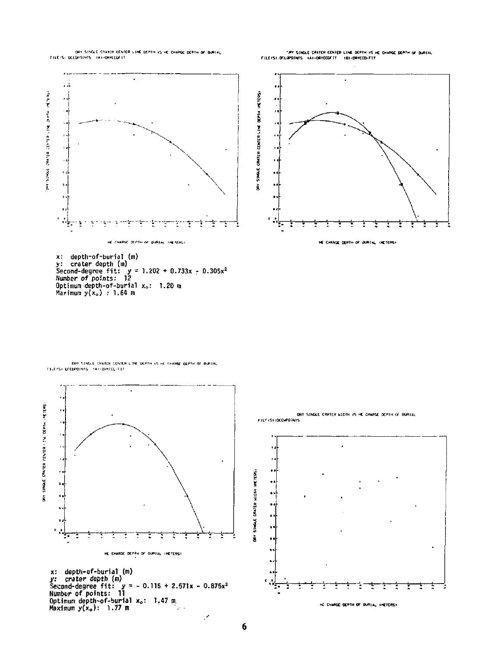DRY STAGLE CRAFER CENTER LINE DEPTH VS HE CHAPGE DEPTH OF BURTAL FILEIS: OCCUPOINTS INT-ORYCEUF IT

"AT SINGLE CRATER CENTER LINE DOPTH VS HE CHARGE DEPTH OF BURTAL<br>FILEISI:OTCOPOINTS - IAI-DRYCCOFIT - IBI-DRYCOI-FIT



y: crater depth (m)<br>Second-degree fit: y = 1.202 + 0.733x<br>Number of points: 12<br>Optimum depth-of-burial x,: 1.20 m<br>Maximum y(x,) : 1.64 m

DRY STMULE CRATER CENTER LINE DEPTH VS HE CHARGE DEPTH OF DURTAL FILE IS DECREDING THAT DRYCCO-FET





×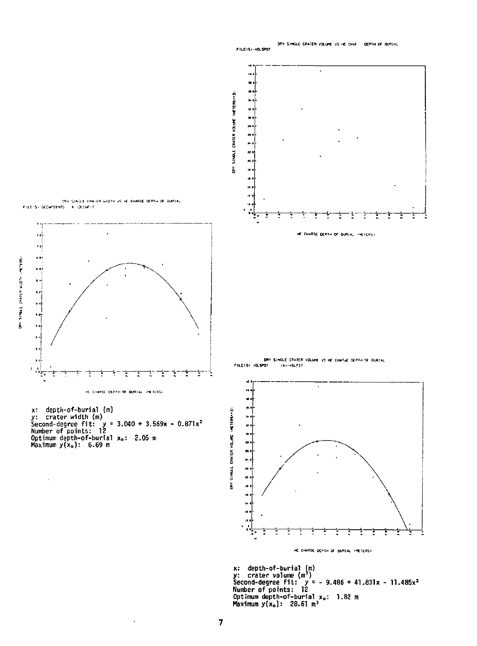FILEISI: VOLSPOT  $\ddot{\phantom{0}}$  $\overline{a}$ ä, × ON SINGLE CRATER VOLUME INCIDENTS .  $\frac{1}{2}$  $\ddot{\phantom{a}}$ ä.  $\begin{array}{lll} &\text{on} \text{ such that } \text{conv}(\mathbf{r},\mathbf{r}) \text{ is a constant of } \mathbf{r} \text{ is a point} \\ &\text{conv}(\mathbf{r},\mathbf{r}) \text{ is a point of } \mathbf{r} \text{ is a point of } \mathbf{r} \text{ is a point of } \mathbf{r} \text{ is a point of } \mathbf{r} \text{ is a point of } \mathbf{r} \text{ is a point of } \mathbf{r} \text{ is a point of } \mathbf{r} \text{ is a point of } \mathbf{r} \text{ is a point of } \mathbf{r} \text{ is a point of } \mathbf{r} \text{$ ä. ÷ ł HE EHAPTE DEPTH OF BURIAL INCTERS! ٠Ń Ā,  $\ddot{\phantom{0}}$  $\begin{array}{c} \n \cdot \\
\cdot \\
\cdot \\
\cdot\n \end{array}$  $\bar{\phantom{a}}$ DRY SINGLE CRATER VOLUNE VS HE CHARGE DEPTH OF BURTAL , FILEISY JOLSPOT (A)-VOLF17 t ŧ ŧ ŕ, ŧ ŧ ÷,  $\ddot{\phantom{a}}$ HE CHARGE EXPTH OF BURIAL INCTERS: DRY SINGLE CRATER VOLUME INCIDENCES x: depth-of-burial (m)<br>y: crater width (m)<br>Second-degree fit: y = 3.040 + 3.569x •<br>Number of points: 12<br>Optimum depth-of-burial x。 2.05 m<br>Maximum y(x<sub>o</sub>): 6.69 m ,  $\bar{\psi}$ ×  $\ddot{\phantom{0}}$ J. t Ĭ. HE CHARGE DEPTH OF BUTTAL INETERS! x: depth-of-burial (m)<br>y: crater volume (m<sup>3</sup>)<br>Second-degree fit: y = -<br>Number of points: 12<br>Optimum depth-of-burial x<br>Maximum y(x<sub>o</sub>): 28.61 m<sup>3</sup>  $9.486 + 41.831x - 11.485x^2$ 

ON SINGLE CRATED HID . . . TITING:

DRY SINGLE CRATER VOLUME VS HE CHAF DEPTH OF BURTAL

 $\bar{z}$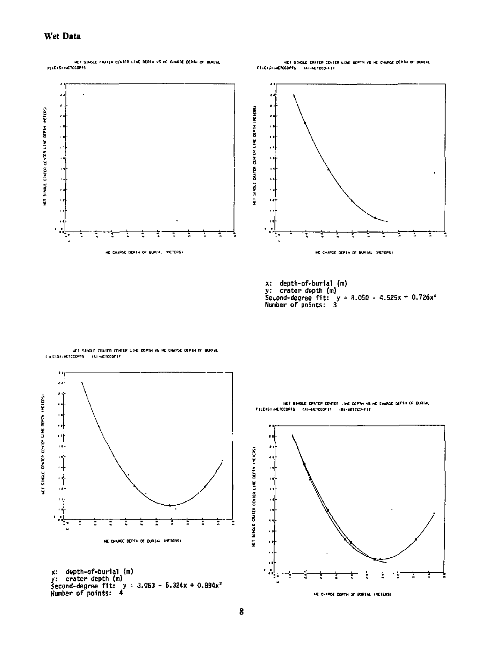#### Wet Data

.<br>In the state of state content the depth vs he charge depth of Burtal .<br>In the streethers



HET STHOLE CRATCR CENTER LINE DEPTH VS HE CHARGE DEPTH OF BURTAL<br>FILEYSTHETCOPPIS - (A)-HETCOD-FIT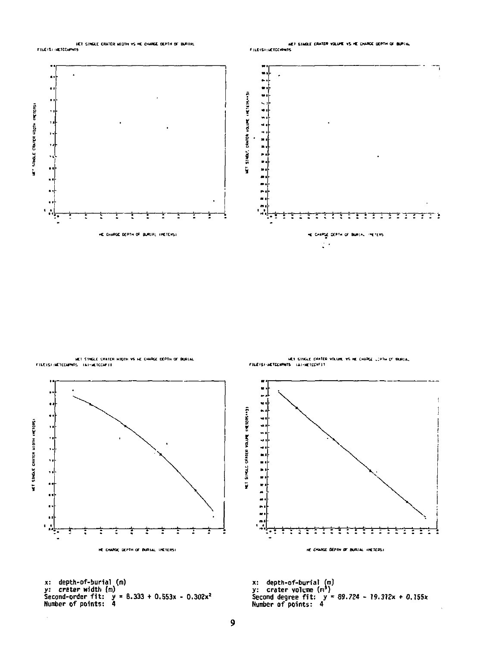



٠  $\blacksquare$ 퍽  $\bullet$ HET SINGLE ORIEG VOLUME INETERS++31  $\bullet$ HET SINGLE CRATER HIDTH (METERS)  $\ddot{\cdot}$ جاء ttitti ٦ ٦ Ť Ξ ŧ Ξ τ ፡ ٦ Ŧ Ξ Ŧ Ξ t l. HE CHARGE DEPTH OF BURIAL INCTERS! HE CHARGE BEPTH OF BURIAL (HETERS)

x: depth-of-burial (m)<br>y: crater width (m)<br>Second-order fit: y = 8.333 + 0.553x - 0.302x<sup>2</sup><br>Mumber of points: 4

HET STAGE CHATER VOLUME VS HE CHARGE LIPTH OF BURTAL FILEISI-METECHPHTS IAI-METECHF1T

x: depth-of-burial (m)<br>y: crater volume (m<sup>3</sup>)<br>Second degree fit: y = 89.724 - 19.312x + 0.155x<br>Number of points: 4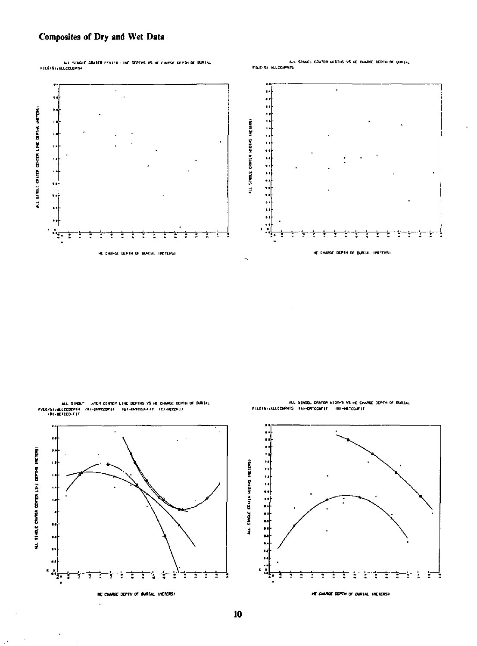#### Composites of Dry and Wet Data

ALL SINGLE SRATER CONTER LINE DEPTHS VS HE CHARGE DEPTH OF BURIAL<br>FILEIS) (ALL CELEPTH

l,



ALL SINGLE CRATER MIDING VS HE CHARGE DEPTH OF BURYAL





.<br>ALL SINGL<sup>e -</sup> ATER CENTER LINE DEPTHS VS HE CHARGE DEPTH OF BURTAL<br>ELCCOZPTH - TAP-DRYCEDFTT - IBI-DRYCED-FIT - ICI-HEEDFIT FREEST-MACCORPH



l,

ALL SINGEL CRATER HIDTHS VS HE CHARGE DEPTH OF BURIAL<br>FILEIS/:ALLCHPHTS | TAI-DRYCENTIT | (BI-HETCHPIT)

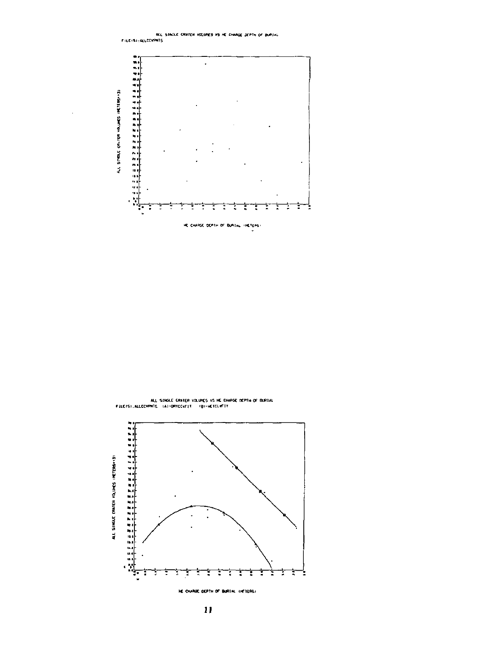

ALL SINGLE CRATER VOLUMES VS HE CHANGE DEPTH OF BURIAL<br>FILETS) JALLECVPH15 - LAI-DRYECV/FIT - TBI-HETECVF1T

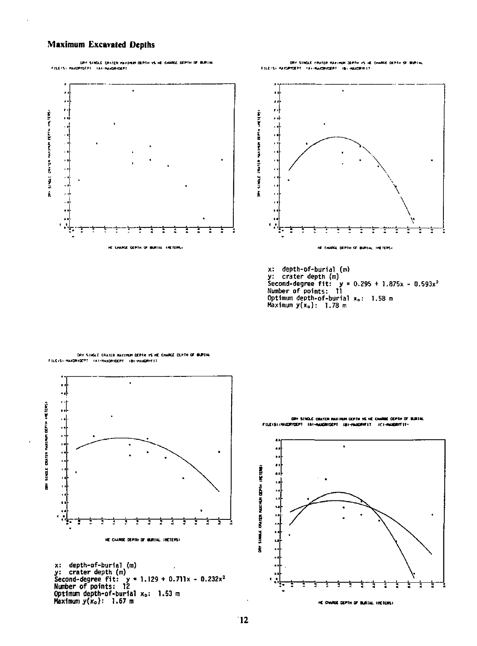#### **Maximum Excavated Depths**

 $\ddot{\phantom{0}}$  $\cdot$ ., :1 (In 5140) contenumentales relies  $\frac{1}{2}$  $\ddot{\phantom{a}}$ ÷ ٦ ŧ î HE CHARGE DEPTH OF BURTAL FRETERS!



x: depth-of-burial (m)<br>y: crater depth (m)<br>Second-degree fit: y = 0.295 + 1.875x - 0.593x<sup>2</sup><br>Number of points: 11<br>Optimum depth-of-burial x<sub>o</sub>: 1.58 m<br>Maximum y(x<sub>o</sub>): 1.78 m

**DRY SINGLE CRATER HAXIMUM DEPTH VS HE CHANGE CLIFTH OF BUREAL**<br>FILE:SI-HAXIDRYDEPT - (#I-HAXIDRYDEPT - (@I-HAXIDRYFT)



x: depth-of-burial (m)<br>y: crater depth (m)<br>Second-degree fit: y \* 1.129 + 0.711x •<br>Number of points: 12<br>Optimum depth-of-burial x<sub>o</sub>: 1.53 m<br>Maximum y(x<sub>o</sub>): 1.67 m 0.232x\* DRY SINGLE CRATCR WASHING COPIN VS HE CHANGE DEPTH OF BURTAL<br>FILEISI (NADRYDEF) – TAX-NAXORYDEF) – TO HANDRYFET – TEX-NAXORY (TA

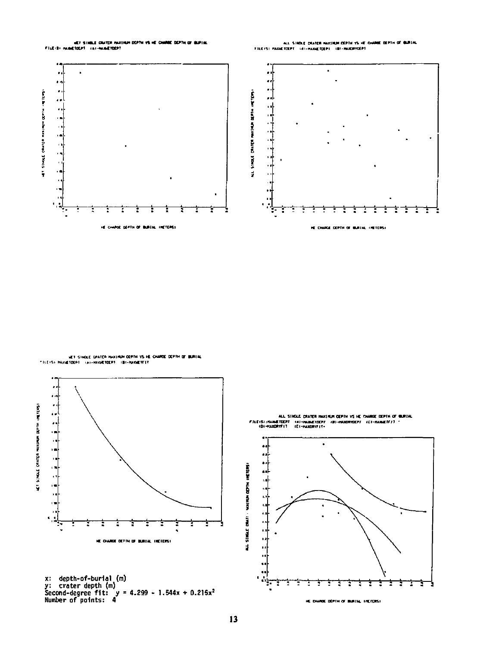



ALL SINDLE CRATER HASSINGH DEPTH 15 HE CHARE DEPTH OF BURTAL<br>FILEISI HASSETDEPT : 181-HASSETDEPT : 181-HASSETDEPT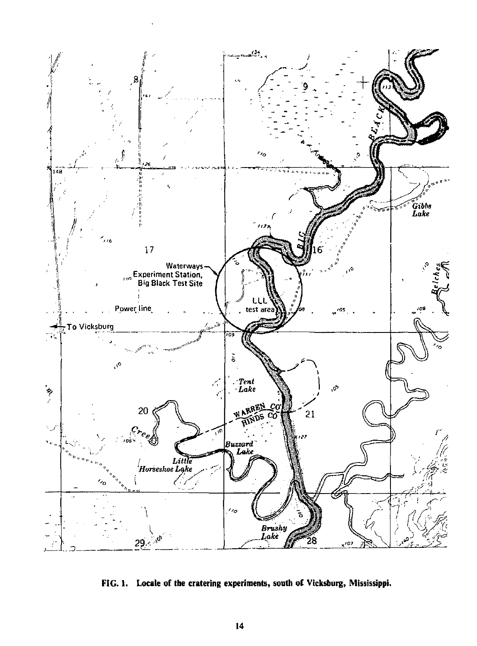

FIG. 1. Locale of the cratering experiments, south of Vicksburg, Mississippi.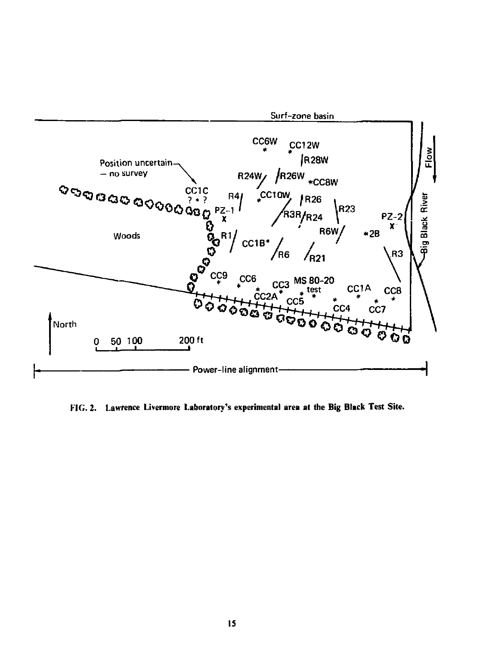

**FIG. 2. Lawrence Livermore Laboratory's experimental area at the Big Black Test Site.**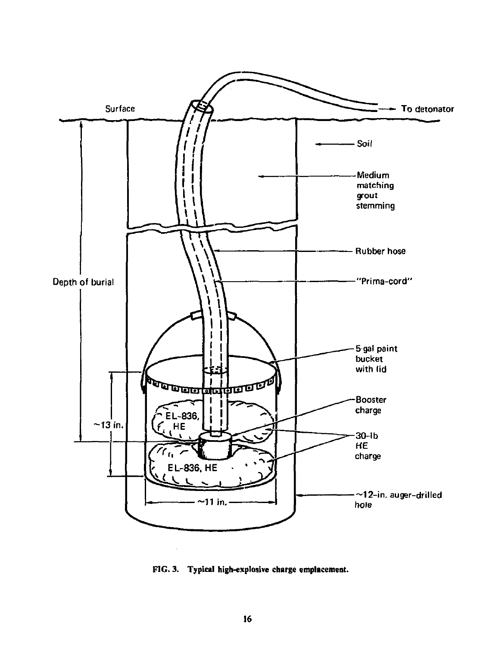

**FIG. 3. Typical high-explosive charge emplacement.**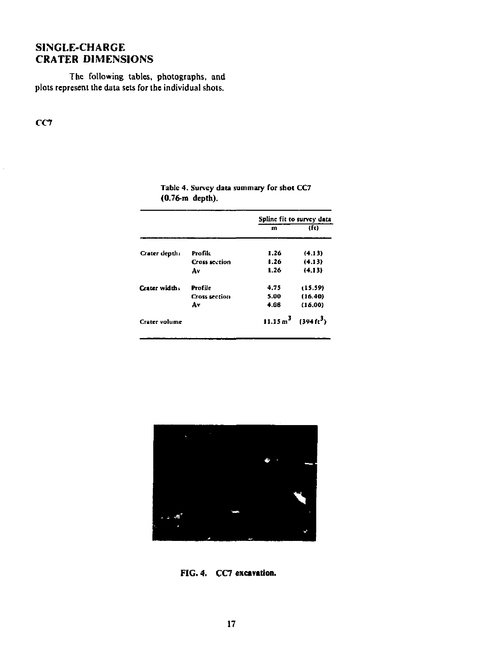### **SINGLE-CHARGE CRATER DIMENSIONS**

The following tables, photographs, and plots represent the data sets for the individual shots.

CC7

|                      | Spline fit to survey data                |         |  |
|----------------------|------------------------------------------|---------|--|
|                      | m                                        | (ft)    |  |
| Profile              | 1.26                                     | (4.13)  |  |
| <b>Cross section</b> | 1.26                                     | (4.13)  |  |
| A۷                   | 1.26                                     | (4.13)  |  |
| Profile              | 4.75                                     | (15.59) |  |
| <b>Cross section</b> | 5.00                                     | (16.40) |  |
| A٧                   | 4.88                                     | (16.00) |  |
|                      | $11.15 \text{ m}^3$ $(394 \text{ ft}^3)$ |         |  |
|                      |                                          |         |  |

| Table 4. Survey data summary for shot CC7 |  |  |
|-------------------------------------------|--|--|
| (0.76-m depth).                           |  |  |



**FIG. 4.** CC7 **excavation.**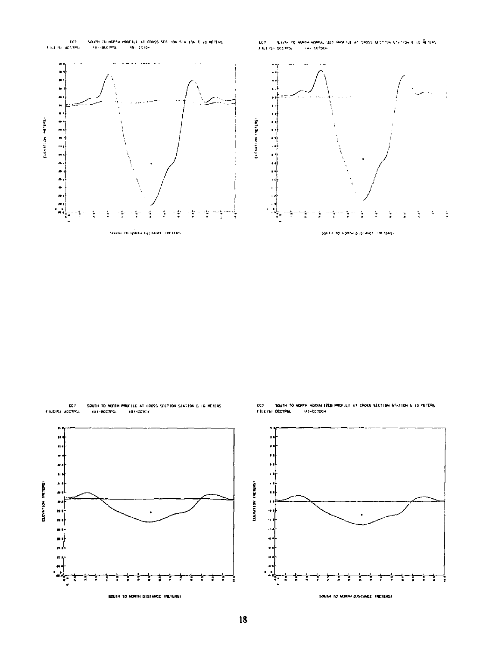

cc) SOUTH TO RORTH PROFILE AT CROSS SECTION STATION & 10 HEIERS FILEISI ACCTPSL 141-BCC7PSL 181-00104



 $_{\rm cc}$ SOUTH TO MORTH HORMA LZED PROFILE AT CROSS SECTION STATION 6 TO HETERS FILE IS DECTPS **IA1-CC70CH** 



SOUTH TO NORTH DISTANCE INCIERS)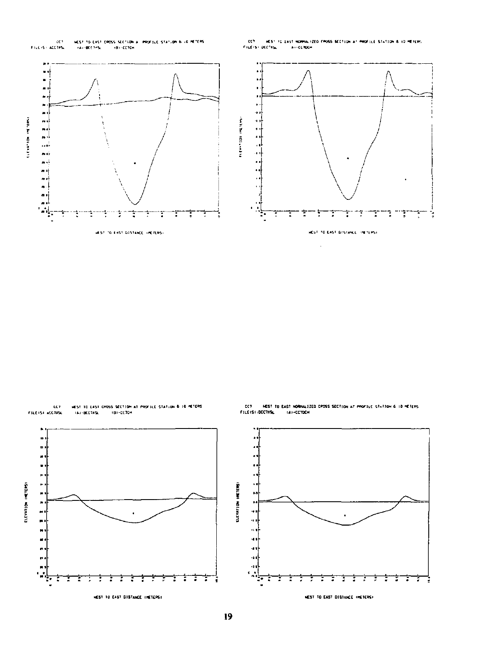

 $\alpha\gamma$ FILEISI DOCTRIA



ECT<br>RILEISI ACCTRS HEST TO EAST CROSS SECTION AT PROFILE STATION & 10 METERS<br>TAJ-BOCTASL - TRI-COTON



٦

Е

**NEST TO EAST DISTANCE (METERS)** 

t ŧ ţ

٦

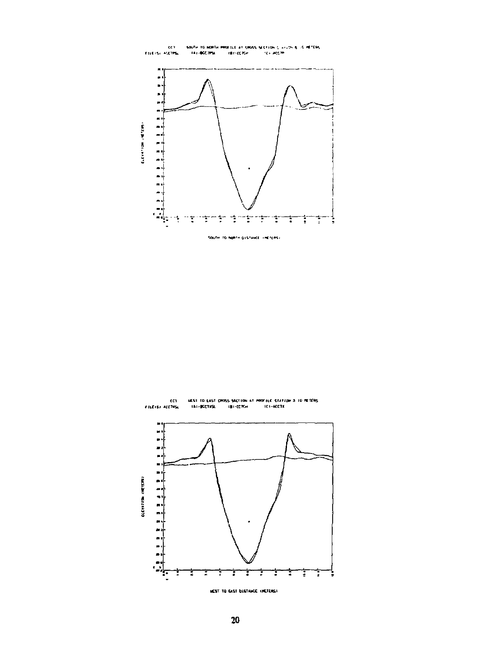



MEST TO GAST DISTANCE INCTERSE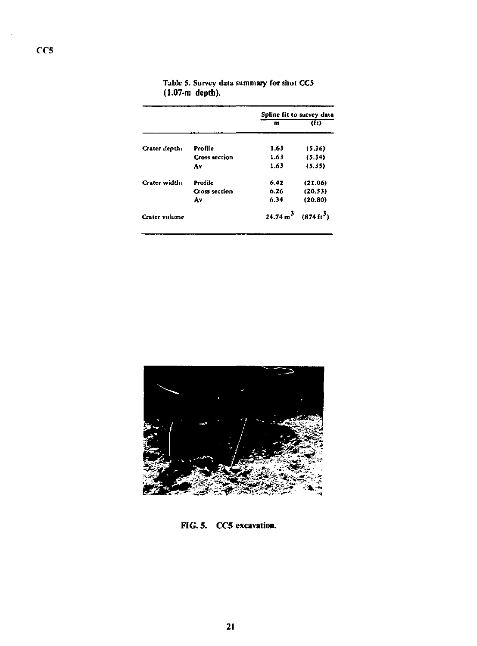|               |                      | Spline fit to survey data                |         |  |
|---------------|----------------------|------------------------------------------|---------|--|
|               |                      | m                                        | (ft)    |  |
| Crater depth: | Profile              | 1.63                                     | (5.36)  |  |
|               | <b>Cross section</b> | 1.63                                     | (5.34)  |  |
|               | A٧                   | 1.63                                     | (5.35)  |  |
| Crater width: | Profile              | 6.42                                     | (21.06) |  |
|               | <b>Cross section</b> | 6.26                                     | (20.53) |  |
|               | Av                   | 6.34                                     | (20.80) |  |
| Crater volume |                      | $24.74 \text{ m}^3$ $(874 \text{ ft}^3)$ |         |  |

Tabic 5. Survey data summary for shot CCS **(1.07-m depth).** 



**FIG. 5. CC5 excavation.**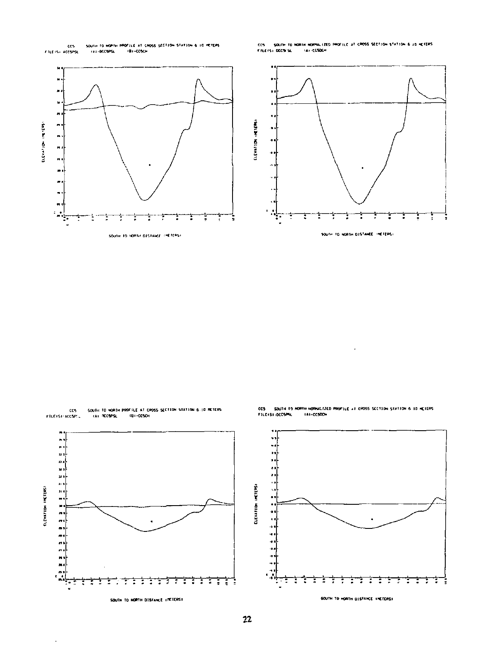

.<br>CCS - SQUTH TO HORIN HORPAL (200 PROFILE AT CROSS SECTION STATION & 10 HETERS)<br>FILEFS) DECSESL - FAX-CESOEH



SOUTH TO NORTH PROFILE AT CROSS SECTION STATION 6.10 METERS<br>- FAI RECSPSL - - (BI-CCSCH ccs<br>FILEISI:ACCSPC





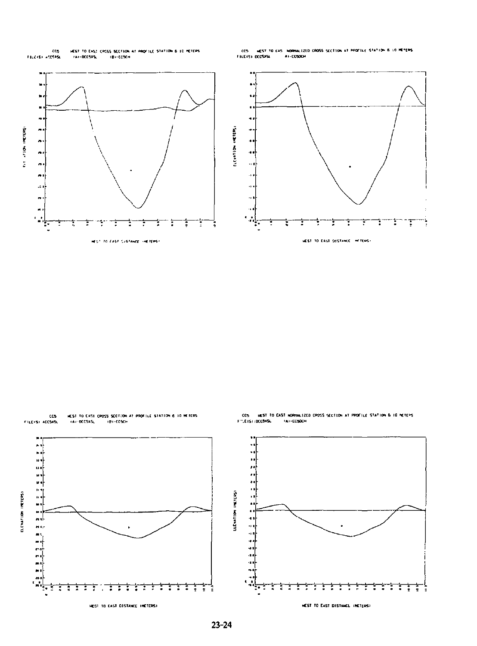

i. ×

.

计内部 计自动控制

 $\frac{1}{2}$ 

**CONTRACTOR** 

CCS MEST TO CAS MORMALIZED CROSS SECTION AT PROFILE STATION & 10 METERS<br>FILEIS) DECSISE : : : : #1-CC50CH



NEST TO EAST CROSS SCETION AT PROFILE STATION 6:30 METERS<br>- KAZ-BECSXSL - - IBT-ECSCH .<br>CCS<br>PILEISI ACCSXSL

ţ t t

 $\ddot{\phantom{0}}$  $\ddot{\phantom{1}}$ × ı, LLEVATION INCITERS! ELEVATION INCIDENTS)  $\ddot{\phantom{a}}$ ÷,  $\frac{1}{2}$ ×  $\sim$ ۰. t ŧ ŧ ŧ ŧ ਜ਼ Ť ŧ t τ τ m T t t Ξ τ τ t 7 HEST TO EAST DISTANCE INCTERS! **MEST TO EAST DISTANCE INCTERS!** 

CCS HEST TO CAST HORNALIZED CROSS SECTION AT PROFILE STATION 6 10 METERS.<br>Friefshipconisk - Tai-Ecsochi

t ŧ ŧ ŧ

٦

τ т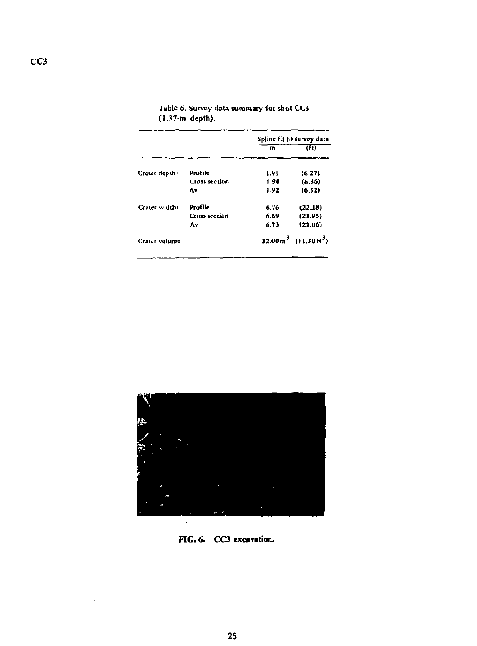|               |                      | Spline fit to survey data |                                             |  |
|---------------|----------------------|---------------------------|---------------------------------------------|--|
|               |                      | $\mathbf{m}$              | m                                           |  |
| Cracer depth: | Profile              | 1.91                      | (6.27)                                      |  |
|               | Cross section        | 1.94                      | (6.36)                                      |  |
|               | A٧                   | 1.92                      | (6.32)                                      |  |
| Creter width: | Profile              | 6.76                      | (22.18)                                     |  |
|               | <b>Cross section</b> | 6.69                      | (21.95)                                     |  |
|               | ٨٧                   | 6.73                      | (22.06)                                     |  |
| Crater volume |                      |                           | 32.00 m <sup>3</sup> $(11.30 \text{ ft}^3)$ |  |

|                             |  | Table 6. Survey data summary for shot CC3 |  |  |
|-----------------------------|--|-------------------------------------------|--|--|
| $(1.37 \, \text{m}$ depth). |  |                                           |  |  |



**FIG. 6.** CC3 **excavation.** 

 $\sim$   $\sim$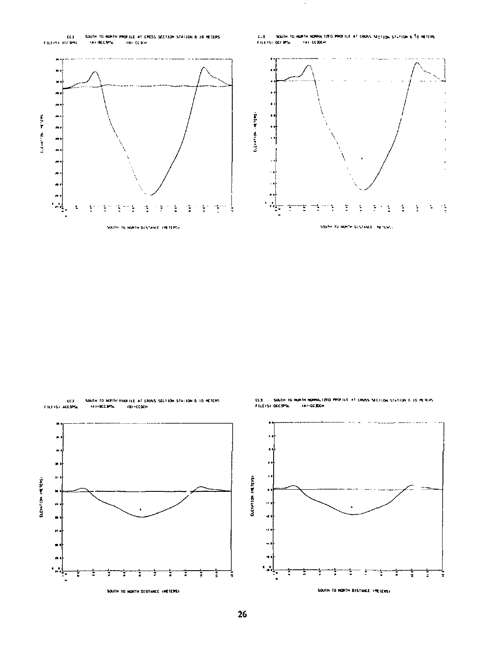ELS<br>PILERSI ALE DRU SOUTH TO ROKTH PROFILE AT CROSS SECTION STATION & 10 HEILPS<br>- TAX-BCCSPSC - TBY-CCSCH C.S. SOUTH TO HURTH RORAL LIED PROTTLE AT CROSS SECTION STATION & TO RETERS FILLIST DO MS. **TAILEDEN** 

k.





٠

 $\mathbf{a}$ 

 $\boldsymbol{\mathsf{u}}$  $\ddot{\phantom{1}}$  $\bullet$  :  $\mathbf{r}$  $\blacksquare$ ×  $\sim$ 

ELEVATION INCITERS:



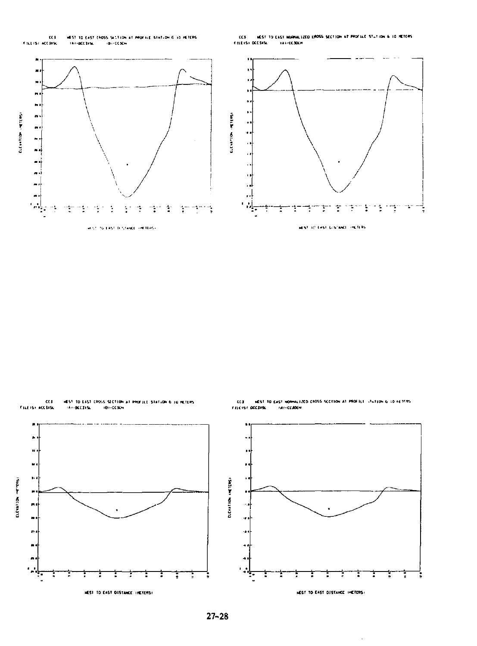

CC3 HEST TO EAST MORNALIZED (ROSS SECTION AT PROFILE STATION & 10 METERS)<br>FILEIST DECSASE : IATHCESOCH --







-<br>| MEST TO EAST HORMALIZED CROSS SECTION AT PROFILI - (Fution 6:10 FATERS<br>| DECITES: | - (AF-CCADEM  $\alpha$ FILE IST DECEMBE

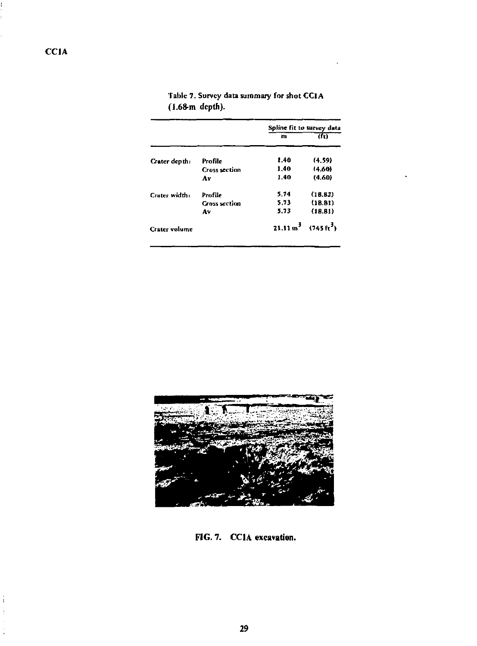|                      |                      | Spline fit to survey data         |                |  |
|----------------------|----------------------|-----------------------------------|----------------|--|
|                      |                      | m                                 | $\overline{d}$ |  |
| Crater depth:        | Profile              | 1.40                              | (4.59)         |  |
|                      | <b>Cross section</b> | 1.40                              | (4.60)         |  |
|                      | Av                   | 1.40                              | (4.60)         |  |
| Crater width:        | Profile              | 5.74                              | (18.82)        |  |
|                      | <b>Cross section</b> | 5.73                              | (18.81)        |  |
|                      | Av                   | 5.73                              | (18.31)        |  |
| <b>Crater</b> volume |                      | $21.11 m^3$ (745fr <sup>3</sup> ) |                |  |

|                  | Table 7. Survey data summary for shot CCIA |  |  |
|------------------|--------------------------------------------|--|--|
| $(1.68m$ depth). |                                            |  |  |



**FIG. 7. CCIA excavation.** 

J.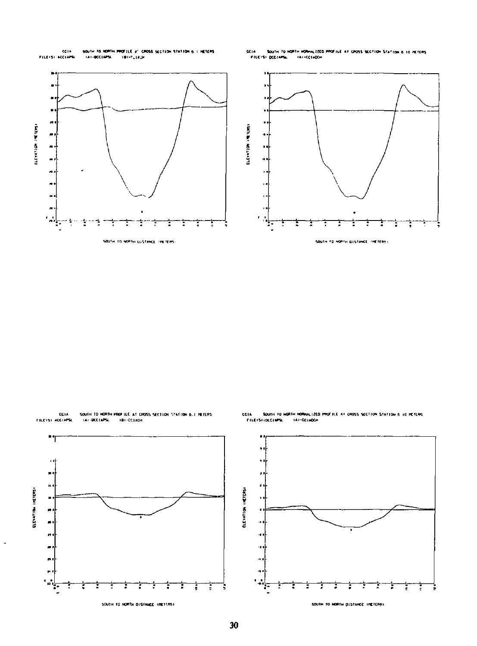





.<br>CIA — SQUTH TO NORTH HORKULIZED PROFILE AT CROSS SECTION STATION & 10 HETERS.<br>- FILEYSTIDECIMPS, - YAT-CEIADEH CCIA

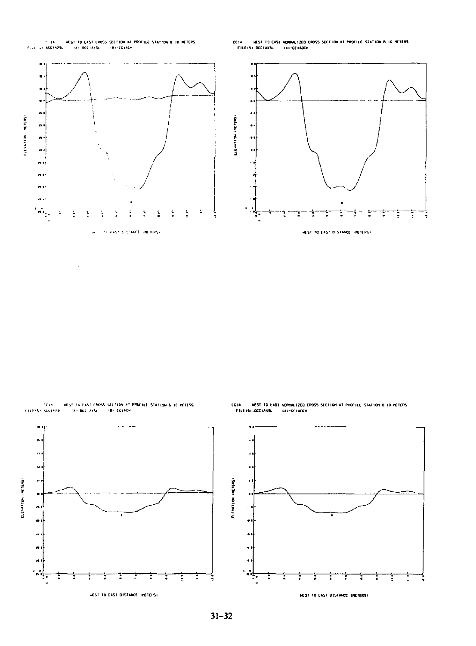$\epsilon$  is -<br>= WEST TO EAST CROSS SECTION AT PROFILE STATION B ID METERS<br>K = - TAT BCCTAXSL = - TBT - CCTACH First or ACCINES.

cess FILEISI DOCIASSA

.<br>C1A – HEST TO EAST HORHAL12ED CROSS SECTION AT PROFILE STATION 6-10 METERS<br>- FILEISI-DECIARSL – FAI-CCIADEN





com

 $31 - 32$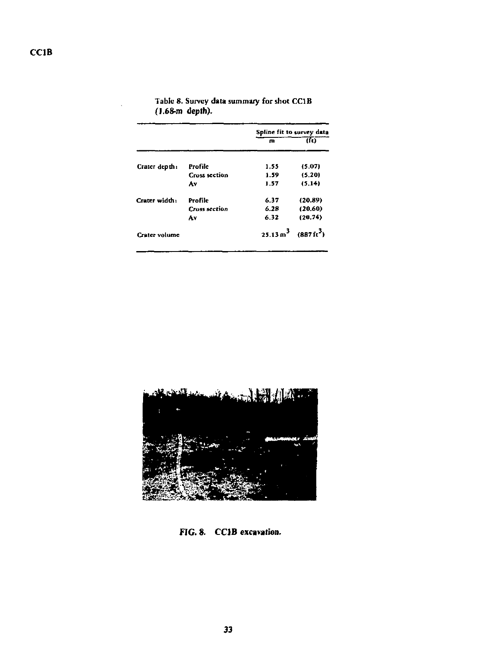|               |                      | Spline fit to survey data                |         |  |
|---------------|----------------------|------------------------------------------|---------|--|
|               |                      | m                                        | क       |  |
| Crater depth: | Profile              | 1.55                                     | (5.07)  |  |
|               | <b>Cross section</b> | 1.59                                     | (5.20)  |  |
|               | ٨v                   | 1.57                                     | (5.14)  |  |
| Crater width: | Profile              | 6.37                                     | (20.89) |  |
|               | <b>Cross section</b> | 6.28                                     | (20.60) |  |
|               | Av                   | 6.32                                     | (20.74) |  |
| Crater volume |                      | $25.13 \text{ m}^3$ $(887 \text{ ft}^3)$ |         |  |

Tabic 8. Survey data summary for shot CCIB **(1.68-m depth).** 



**FIG. 8. CCIB excavation.**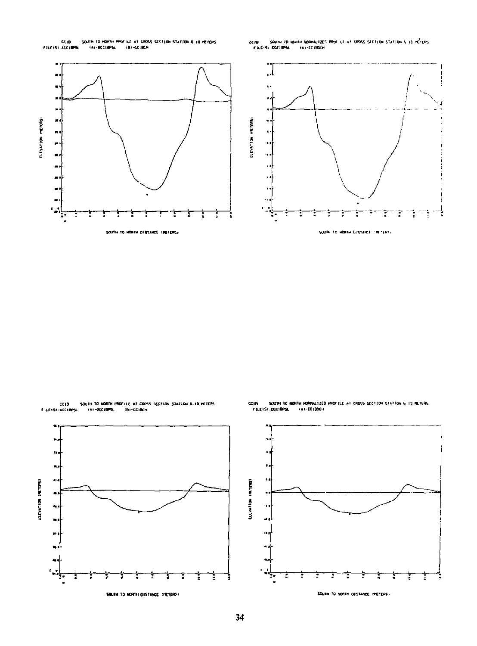CALIB<br>Felixosi Acciminal .<br>South to homth Profile at CROSS SCCT10H STATION & 10 HEYORS<br>L. . . (A)-BCC10PSL. . . . (B)-CC10CH .<br>2210 - SOUNH TO MEMIN MORKALIZES PROFILE AT CROSS SECTION STATION & 10 MÉTERS.<br>- FILE-SI OSCIBRAL - FAI-CCIBOCH





CCIB<br>FILEISI :ACCIBPSL



.<br>1900'th to Horthi Hoffmultzed Profili, at cross section station 6.10 METERS<br>51:00018PSL (At-CO18DCH CCIB SOUTH TO !<br>FILEST :DCCIBPSL

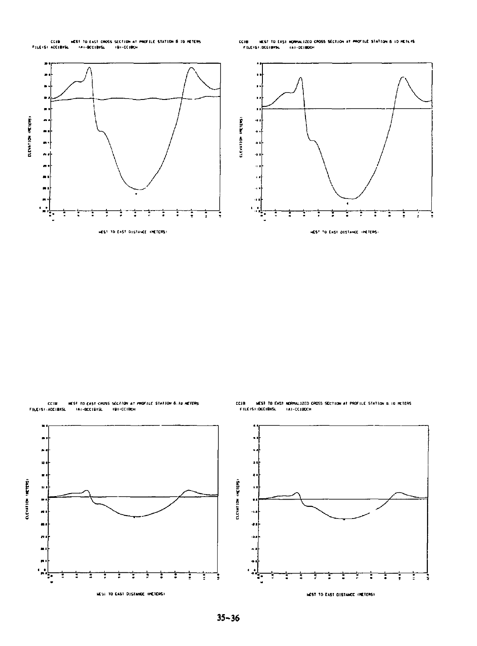CCIB HEST TO EAST CROSS SECTION AT PROTILE STATION & 10 METERS.<br>PILE (SI ACCIBIS), TAX-ROCEBIS, TRI-CCIBON

.<br>1988 — Milst to EAST HORMALIZED CROSS SECTION AT PROFILE STATION & 10 METLAS<br>- FILEISY.DCCIBINA. - (A7-OCIBOCH  $CC10$ 



CCIB HIST TO CAST CROSS SCCTION AT PROFILE STATION & TO NETERS<br>FILEISI:ADCIBISL - TAT-BODIBISL - TBT-COIBON



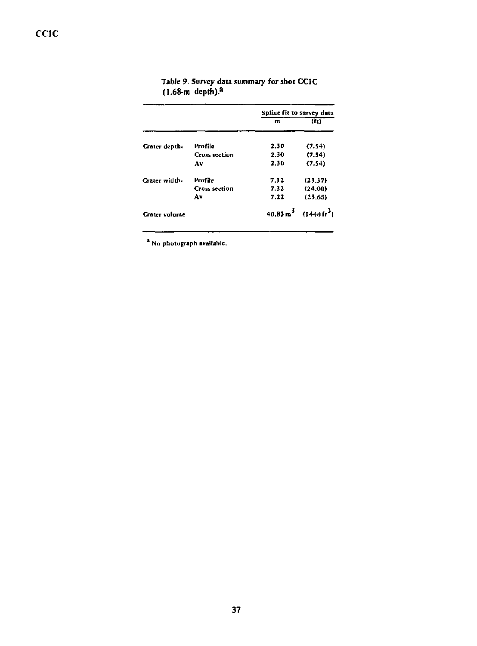|                      |                      | Spline fit to survey data |                                           |
|----------------------|----------------------|---------------------------|-------------------------------------------|
|                      |                      | $\mathbf{m}$              | (f <sub>t</sub> )                         |
| Crater depth:        | Profile              | 2.30                      | (7.54)                                    |
|                      | <b>Cross section</b> | 2.30                      | (7.54)                                    |
|                      | Av                   | 2.30                      | (7.54)                                    |
| Crater width:        | Profile              | 7.12                      | (23.37)                                   |
|                      | <b>Cross section</b> | 7.32                      | (24.00)                                   |
|                      | Av                   | 7.22                      | (23.65)                                   |
| <b>Crater</b> volume |                      |                           | $40.83 \text{ m}^3$ $(1449 \text{ ft}^3)$ |

# Table 9. Survey data summary for shot CC1C<br>(1.68-m depth).<sup>2</sup>

<sup>a</sup> Nu photograph available.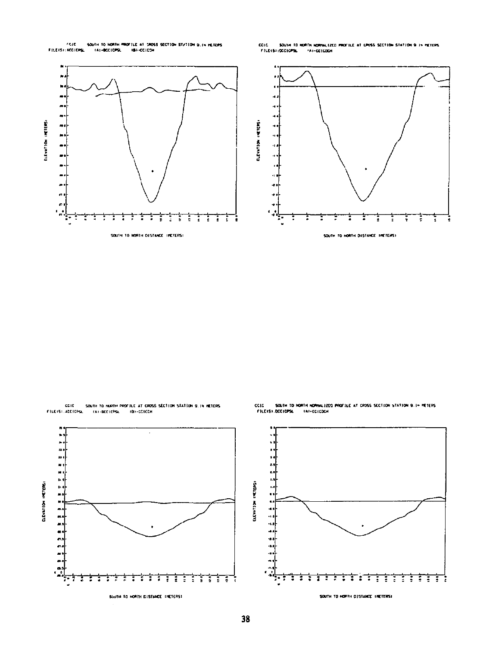<sup>7</sup>CIC SOUTH TO NORTH PROFILE AT 19055 SECTION STATION Q, IN NETERS<br>FILEIST:RECICPS, TAT-BOCTOPS, TBT-COTCOR

CC1C SOUTH TO RORTH NORMALIZED PROFILE AT CROSS SECTION STATION 9 IN RETERS<br>FILEISTIOCCICPSL - FAT-CCICOON



CEIC SOUTH TO HURTH PROTILE AT CROSS SECTION STATION 9:14 HETERS<br>FILEISI:ADCIDPSL - TAI-BODIOPSL - TBI-DOIOCH







 $ccic$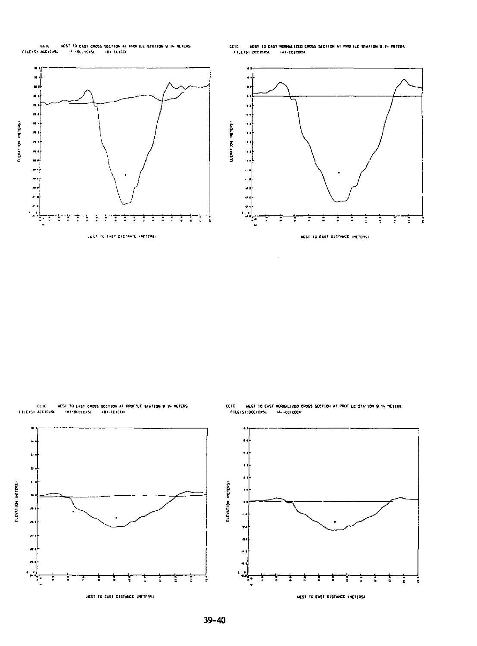CCIC - HEST TO EAST CROSS SECTION AT PROFILE STATION 9 IN HETERS<br>FILEYS) ACEICASL - TAT-BECTORSL - TRI-COTCON

.<br>CIC – NEST TO EAST MONINALIZED CROSS SECTION AT PROFILE STATION 9.14 METERS<br>|FILEISH:DECICRSL – (AH-CCICOCH)  $_{\rm circ}$ 



CCIC HEST TO EAST CROSS SECTION AT PROFILE STATION 9 IN HETERS.<br>FILEIS) ACCIDES, CAN-BODICAS, GB-COICON

**ELEVATION INCIDES:** 



HEST TO EAST DISTINCE INCTERS!

con .<br>ICIE – HEST TO EAST HORMALIZED CROSS SECTION AT PROFILE STATION 9.14 METERS<br>- FILEIS):ODEICRSL – (A)-CEICDON



**MEST TO EAST DISTANCE (HETERS)**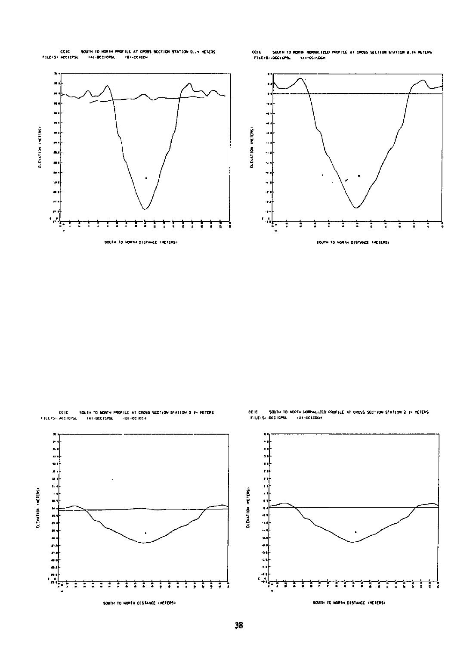COIC SOUTH TO HORTH PROFILE AT CROSS SECTION STATION 9.19 HETERS.<br>FILEISI.ACCICPSL - TAT-BOCICPSL - TBT-COTCON

CCIC - SOUTH TO NORTH HORNALIZED PROFILE AT CROSS SECTION STATION 9.1% RETERS<br>FILEKSHOODCOPSL - KAI-GOICOGH





CCIC - SQUIN TO NORTH PROFILE AT CROSS SECTION STATION 9 IN HETERS<br>FILETS) ACCICPS, - (AT-BCC12PS), - (BF-CCICCH

CCIC - SOUTH TO HOPTH NORMALIZED PROFILE AT CROSS SECTION STATION 9 IN HETERS<br>FILEISTIDOCTOPSL - TAT-CCICOCH



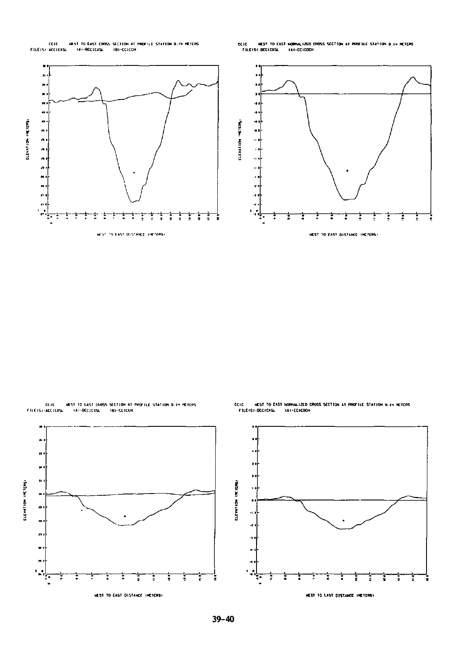CCIC - MEST TO EAST CROSS SECTION AT PROFILE STATION 9.19 HETERS<br>FILEISE-ACCICKSL - IAI-BCCICKSL - IBI-CCICCH

CCIC - HEST TO EAST NORMALIZED CROSS SECTION AT PROFILE STATION 9 IN HETERS<br>- FILE(S):DCCICXSL - FAI-CCICDON



MEST 10 EAST CHOSS SECTION AT PROFILE STATION 9.14 MÉTERS<br>, (A)-BCC)CKSL (B)-CCICCH

'n, ×  $\ddot{\phantom{0}}$ ELEVATION INCITINGS

 $\blacksquare$  $\ddot{\phantom{a}}$  $\tilde{\phantom{a}}$  $\overline{a}$ ä,  $\blacksquare$  $\sim$ 



COIC - HEST TO EAST HORMALIZED CROSS SECTION AT PROFILE STATION 9.14 HETERS<br>- FILEISI-DECICNSL - LAT-COICOCH

 $39 - 40$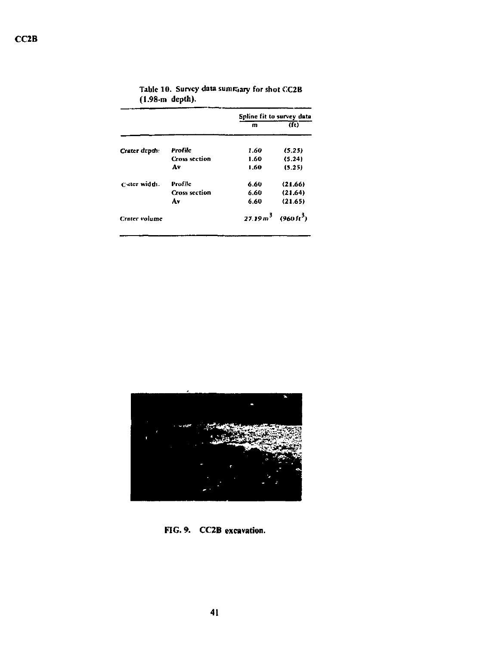|                      |                      | Spline fit to survey data         |         |
|----------------------|----------------------|-----------------------------------|---------|
|                      |                      | m                                 | (ii)    |
| Crater depth         | Profile              | 1.60                              | (5.25)  |
|                      | <b>Cross section</b> | 1.60                              | (5.24)  |
|                      | A٧                   | 1.60                              | (5.25)  |
| Cater width.         | Profile              | 6.60                              | (21.66) |
|                      | <b>Cross section</b> | 6.60                              | (21.64) |
|                      | ٨v                   | 6.60                              | (21.65) |
| <b>Crater volume</b> |                      | $27.19 m3$ (960 ft <sup>3</sup> ) |         |

Tabic 10. Survey data summary for shot CC2B (1.98-m depth).



**FIG. 9. CC2B excavation.**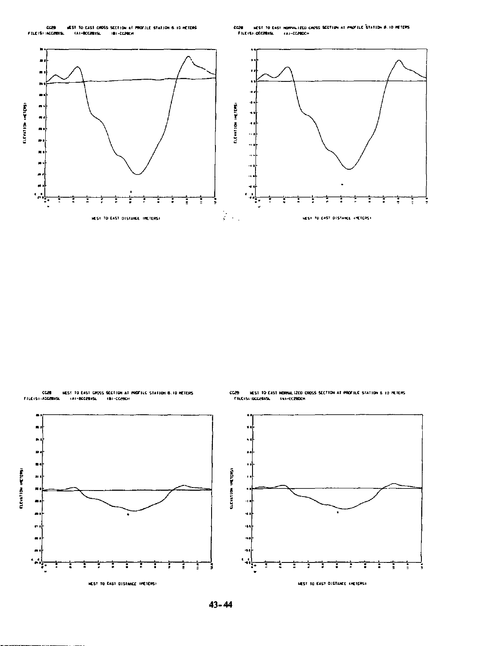.<br>CC20 – HEST TO EAST HOMINALIZED CAPSS SECTION AT PROFILE STATION 8.10 METERS.<br>- FILE(S):(DECRIREL – (A)=CC200CH





CC29 HEST TO EAST NORMALIZED CROSS SECTION AT PROFILE STATION & 10 METERS<br>- FILE/SI:DOC26R75L - INN-EC280CH



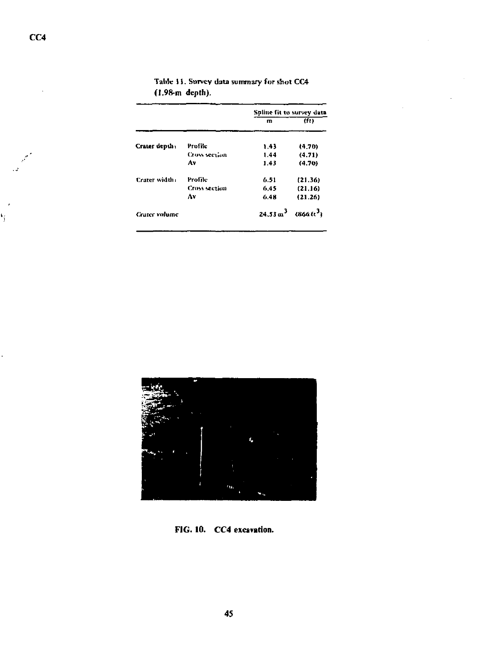|               |                      | Spline fit to survey data |              |
|---------------|----------------------|---------------------------|--------------|
|               |                      | m                         | (ft)         |
| Crater depth: | Profile              | 1.43                      | (4.70)       |
|               | <b>Cross section</b> | 1.44                      | (4.71)       |
|               | A٧                   | 1.43                      | (4.70)       |
| Crater width: | Profile              | 6.51                      | (21.36)      |
|               | <b>Cross section</b> | 6.45                      | (21.16)      |
|               | ٨v                   | 6.48                      | (21.26)      |
| Crater volume |                      | $24.53 \text{ m}^3$       | $(866\,h^3)$ |

|  |                 | Table 11. Survey data summary for shot CC4 |  |  |
|--|-----------------|--------------------------------------------|--|--|
|  | (1.98-m depth). |                                            |  |  |



FIG. 10. CC4 excavation.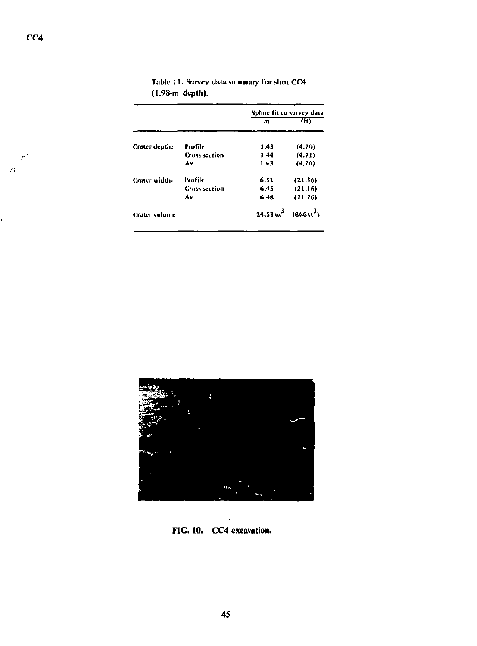|                      | Spline fit to survey data |                    |
|----------------------|---------------------------|--------------------|
|                      | m                         | (ft)               |
| Profile              | 1.43                      | (4.70)             |
| <b>Cross section</b> | 1.44                      | (4.71)             |
| ٨ν                   | 1.43                      | (4.70)             |
| Profile              | 6.51                      | (21.36)            |
| <b>Cross section</b> | 6.45                      | (21.16)            |
| Av                   | 6.48                      | (21.26)            |
|                      | $24.53 \text{ m}^3$       | $(866\,{\rm K}^3)$ |
|                      |                           |                    |

|                 | Table 11. Survey data summary for shot CC4 |
|-----------------|--------------------------------------------|
| (1.98-m depth). |                                            |



L, **FIG. 10. CC4 excavation.** 

 $\mathcal{C}$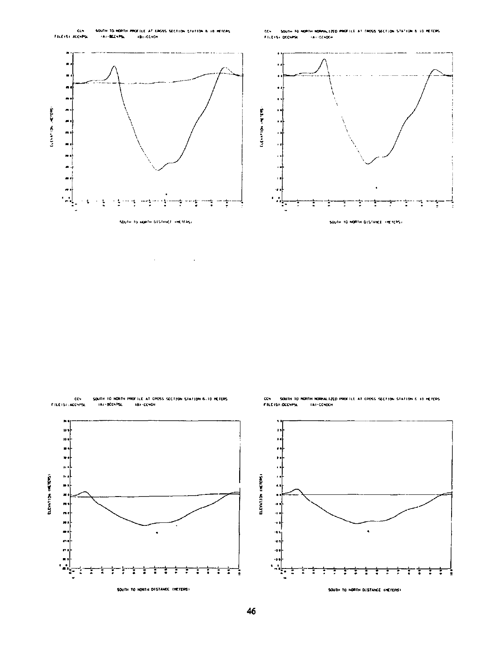

.<br>1994 – South to Hopfer Homew.fito profile at cross section station & 10 METERS.<br>Filtisk occurse – Tax-comoch







SOUTH TO HORTH DISTANCE THETERS!

CC4 - SOUTH TO RORTH RORNALIZED PROFILE AT CROSS SECTION STATION & 10 HETERS<br>FILETSTICCONPSU - TAT-CONDEN

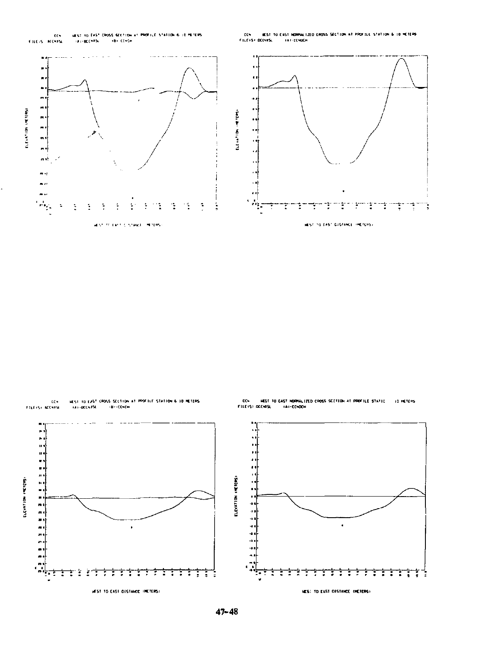

CCH - WEST TO EAST NORMALIZED CROSS SECTION AT PROFILE STATION & 10 METERS<br>FILEVS? DECHRSC - VAP-ECHDER





ı ŗ

ċ

**ELEVATION INCTERS!** 

ŧ

CCN HEST TO EAST NORMALIZED CROSS SCOTION AT PROFILE STATIC.<br>FILEYST:OCCMISL = TAI-CCNDON **ID RETERS** 

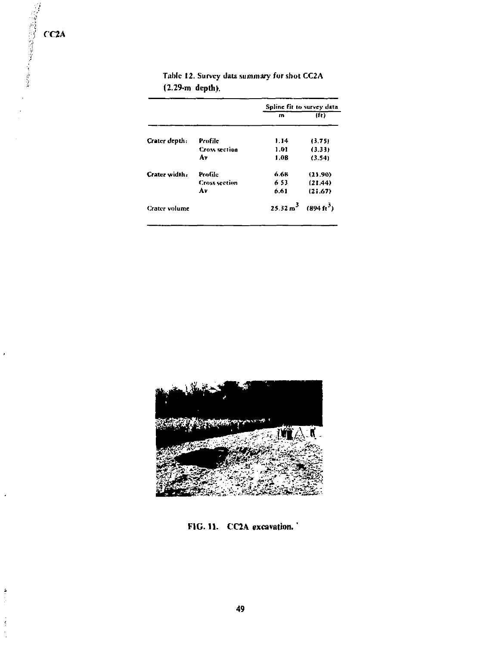$\lambda$ 

þ

 $\frac{1}{2}$ Ĵ,

|                      |                      | Spline fit to survey data |                                            |
|----------------------|----------------------|---------------------------|--------------------------------------------|
|                      |                      | m                         | (f <sub>t</sub> )                          |
| Crater depth:        | Profile              | 1.14                      | (3.75)                                     |
|                      | <b>Cross section</b> | 1.01                      | (3.33)                                     |
|                      | Á٧                   | 1.08                      | (3.54)                                     |
| Crater width,        | Protile              | 6.68                      | (21.90)                                    |
|                      | <b>Cross section</b> | 653                       | (21.44)                                    |
|                      | ٨v                   | 6.61                      | (21.67)                                    |
| <b>Crater</b> volume |                      |                           | $25.32 \text{ m}^3$ (894 ft <sup>3</sup> ) |
|                      |                      |                           |                                            |

Tabic 12. Survey data summary **for** shot CC2 A (2.29-m **depth).** 



**FIG. 11. CC2A excavation.'**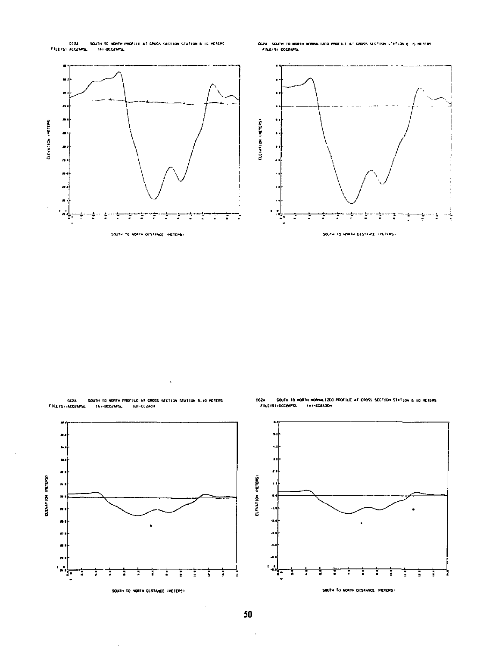.<br>SOUTH TO HOWTH PROFILE AT CROSS SECTION STATION & 10 HETCPS.<br>L. . TAI-BCC2MPSL. ECOM<br>Filipinsi Accounts

CC2A SOUTH TO NORTH RORRALIZED PROTILE AT CROSS SECTION VTATION & IS HETERS FILEISI OCCENTA



CC2A<br>Filehs) (Acc2APSL SQUIH TO HORTH PROFILE AT CROSS SECTION STATION 8.10 HETERS<br>TAI-DCC2APSL == TBI-CC2ACH



CC2A SOUTH TO HORTH HOMHALSZEO PROFILE AT CROSS SECTION STATION & 10 METERS<br>FILEISILDCC2NPSL - IAI-CC2ADDH

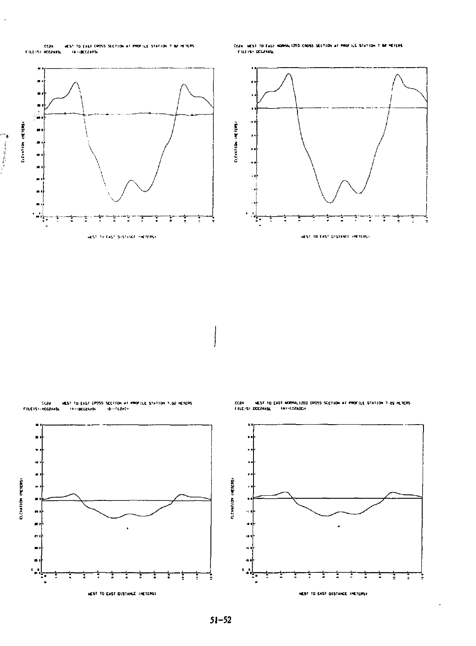

.<br>CC2A - WEST TO EAST HORMALIZED CROSS SECTION AT PROFILE STATION 7-02 PETERS<br>- FILEIST DECZARSL





CC24 MEST TO WEST TO EAST MORMALIZED CROSS SCCTION AT PROFILE STATION 7.29 HETERS<br>DCC2AxSL (AT-CG2ADCH

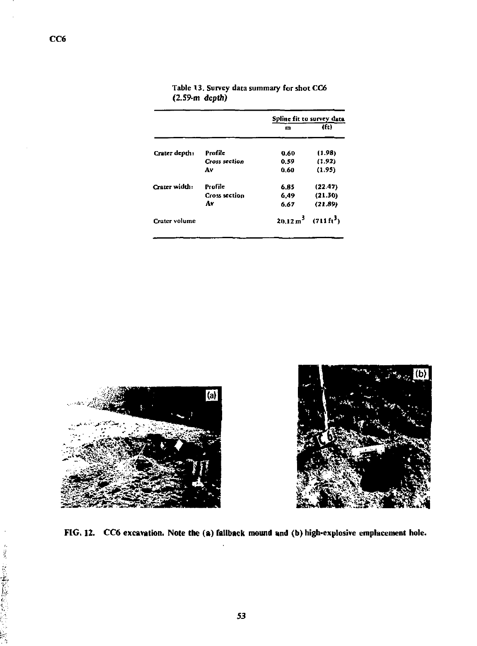|               |                      | Spline fit to survey data |                                            |
|---------------|----------------------|---------------------------|--------------------------------------------|
|               |                      | m                         | (f <sub>t</sub> )                          |
| Crater depth: | Profile              | 0.60                      | (1.98)                                     |
|               | <b>Cross section</b> | 0.59                      | (1.92)                                     |
|               | A٧                   | 0.60                      | (1.95)                                     |
| Crater width: | Profile              | 6.85                      | (22.47)                                    |
|               | <b>Cross section</b> | 6.49                      | (21.30)                                    |
|               | Av                   | 6.67                      | (21.89)                                    |
| Crater volume |                      |                           | $20.12 \text{ m}^3$ (711 ft <sup>3</sup> ) |
|               |                      |                           |                                            |

Table 13. Survey data summary for shot CC6 (2.59-m **depth)** 







人名英格兰人姓氏科尔的变体

N ķ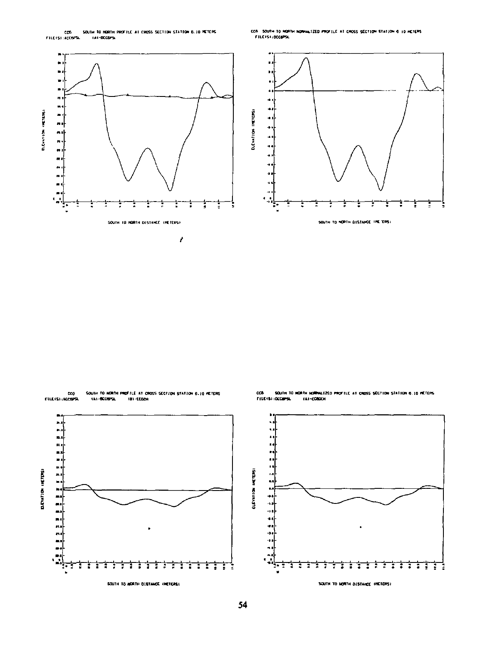

cc8 - South to Horth Hornwizzo profile at cross section station 6 to heleps.<br>- Filefs) (occupis)





cco<br>Fillers: Lecapsi

SQUTH TO MORTH PROFILE AT CROSS SECTION STATION 8.10 HETERS<br>(A)-BCCBPS, (B)-115CH



CC6 - SQUIN TO HORTH NORMALIZED PROFILE AT CROSS SECTION STATION 6.10 METERS<br>FILE (S):OCCOPSL - (A)-CORDON

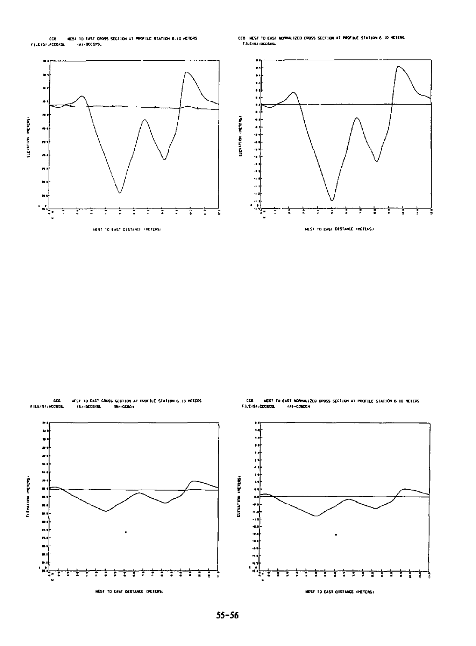

CCB HEST TO EAST NORMALIZED CROSS SECTION AT PROFILE STATION 6.10 HETERS.<br>File(s):Dec6xsl



CCS<br>FILE IS I MCCEXEL HEST TO EAST CROSS SECTION AT PROFILE STATION 6.10 HETERS<br>(A)-BECGXSL (B)-CCSCH





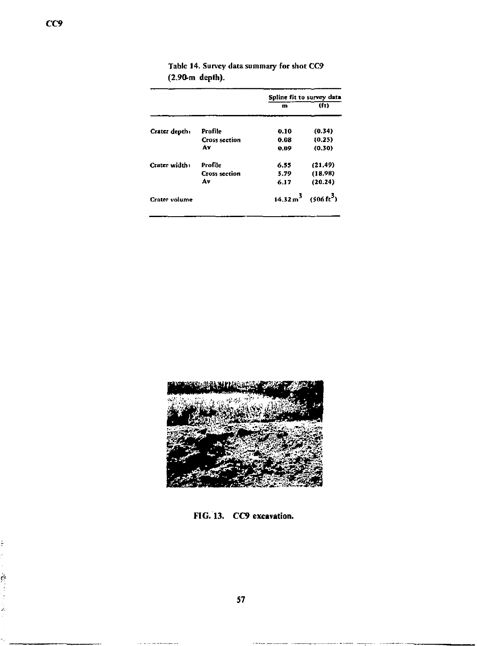|                      | Spline fit to survey data |                                               |
|----------------------|---------------------------|-----------------------------------------------|
|                      | m                         | (fr)                                          |
| Profile              | 0.10                      | (0.34)                                        |
| <b>Cross section</b> | 0.08                      | (0.25)                                        |
| Av                   | 0.09                      | (0.30)                                        |
| Profile              | 6.55                      | (21.49)                                       |
| <b>Cross section</b> | 5.79                      | (18.98)                                       |
| Á٧                   | 6.17                      | (20.24)                                       |
|                      |                           | $14.32 \,\mathrm{m}^3$ (506 ft <sup>3</sup> ) |
|                      |                           |                                               |

Table 14. Survey data summary for shot CC9 **(2.90-m depth).** 



**FIG. 13. CC9 excavation.** 

 $\mathbb{R}$ ).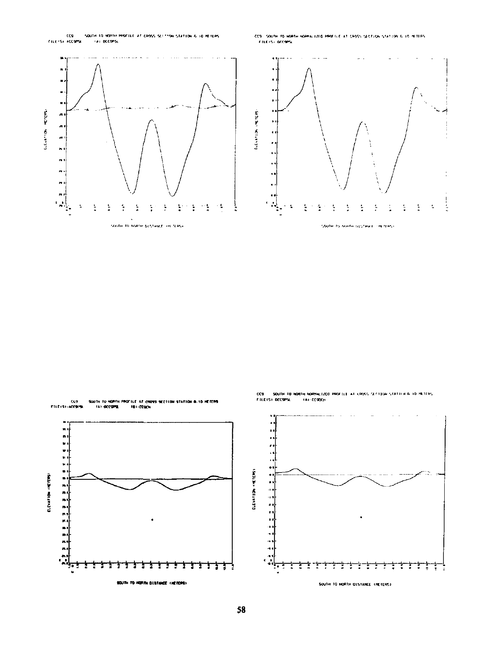

.<br>CC9 - SOUTH TO HORTH HORMALIZED PROTILE AT CROSS SECTION STATION 6.10 HETERS.<br>- FILEYS: DECOPS:





CC9 - SOUTH TO NORTH NORMALIZED PROFILI AT CROSS SECTION STATILY & 10 METERS<br>FILETSE OCC9PSL - TAE-COUCH

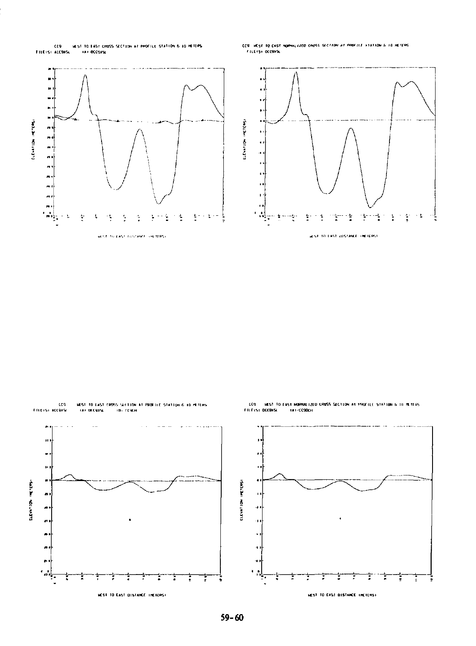

CCS HEST TO EAST NORMALIZED CAUSS SECTION AT RABEILE VISITION & 10 HEIERS FILEISI DOCSISL





MEST TO EAST DISTANCE INCIERS!

 $59 - 60$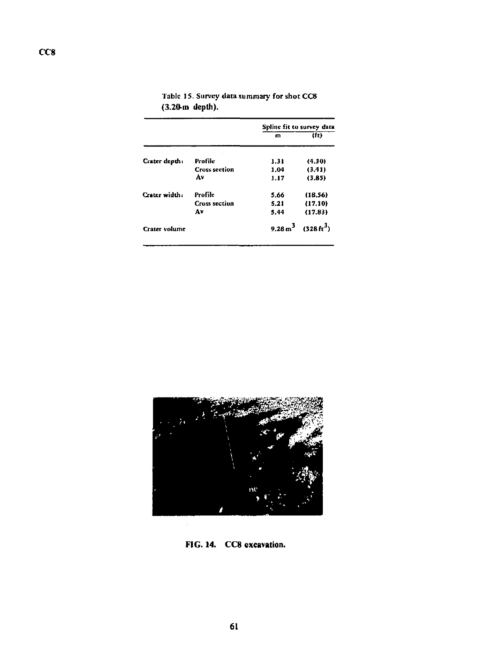|               |                      | Spline fit to survey data |                         |
|---------------|----------------------|---------------------------|-------------------------|
|               |                      | m                         | (ft)                    |
| Crater depth: | Profile              | 1.31                      | (4.30)                  |
|               | <b>Cross section</b> | 1.04                      | (3.41)                  |
|               | A٧                   | 1.17                      | (3.85)                  |
| Creter width: | Profile              | 5.66                      | (18.56)                 |
|               | <b>Cross section</b> | 5.21                      | (17.10)                 |
|               | A٧                   | 5.44                      | (17.83)                 |
| Crater volume |                      |                           | 9.28 $m^3$ (328 $m^3$ ) |

Tabic 1S. Survey data summary for shot CC8 **(3.20-m depth).** 



**FIG. 14. CC8 excavation.**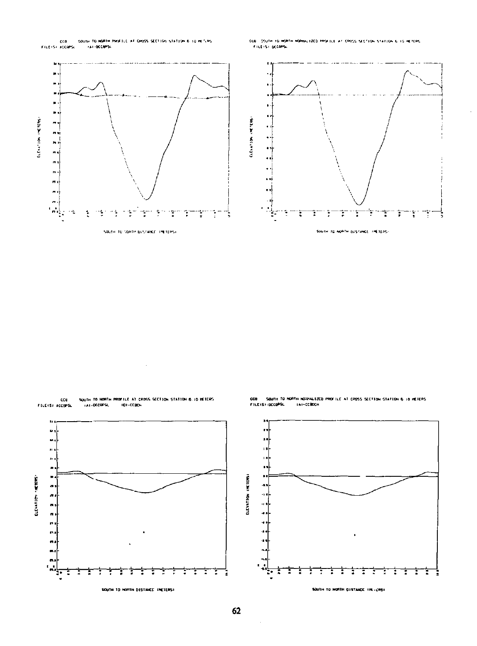

COB COURT TO ROPTH ROPHALIZED FROEILE AT CROSS SECTION STATION & IS HETERS FILEISI DOGRAS



SOUTH TO HORTH PROFILE AT CROSS SECTION STATION 6.10 HEIERS<br>| TAT-BECOPSL | TOJ-CEBEH ccu FILEISI ACCOPS

 $\mathbf{r}$  $\ddot{\phantom{a}}$ τ. п, ELEVATION (HETERS)  $\frac{1}{2} \sum_{i=1}^{n}$ ŧ t ŧ T 2 з ÷ Е SOUTH TO NORTH DISTANCE INCIDENT

.<br>COB – SQUTH TO HORTH NOGONALIZED PROFILE AT CROSS SECTION STATION & 10 HEIERS<br>FILEISY:DCOPSL – IAY-COBOCH



62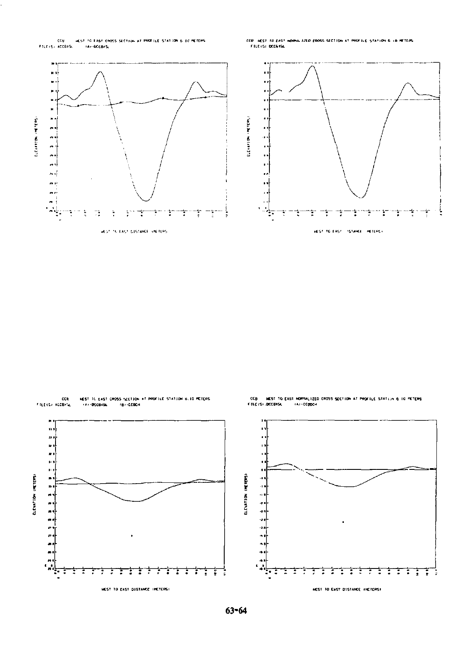

CCB HEST TO EAST NORMALIZED CROSS SECTION AT PROFILE STATION 6 10 METERS.<br>- FILE-SI DOGGNSL



HEST IL EAST CROSS SECTION AT PROFILE STATION 8.10 METERS<br>| (A) (DECEKSL | 18) -CEBEH cca FILEIS/ ACCO/L

FILE IS) IDCORSE





HEST TO EAST DISTANCE INCTERS!

ELEVATION (METERS)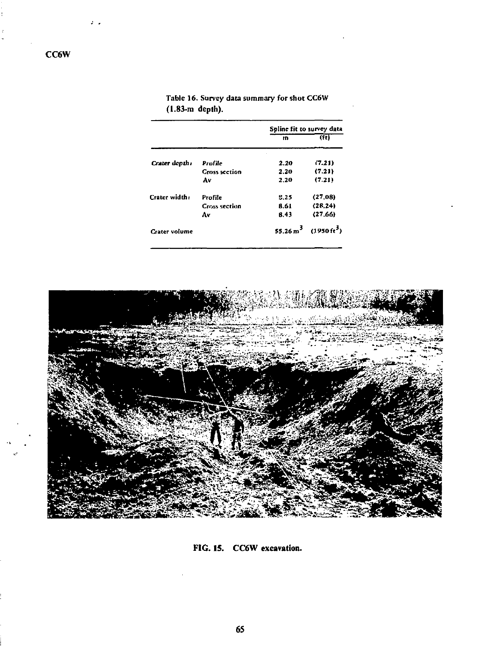|               |                      | Spline fit to survey data |                                    |
|---------------|----------------------|---------------------------|------------------------------------|
|               |                      | $\mathbf{m}$              | (ft)                               |
| Crater depth: | Profile              | 2.20                      | (7.21)                             |
|               | <b>Cross section</b> | 2.20                      | (7.21)                             |
|               | Av                   | 2.20                      | (7.21)                             |
| Crater width: | Profile              | 5.25                      | (27.08)                            |
|               | <b>Cross section</b> | 8.61                      | (28.24)                            |
|               | Av                   | 6.43                      | (27.66)                            |
| Crater volume |                      |                           | 55.26 $m^3$ (1950ft <sup>3</sup> ) |

Table 16. Survey **data** summary for shot CC6W **(1.83-m depth).** 



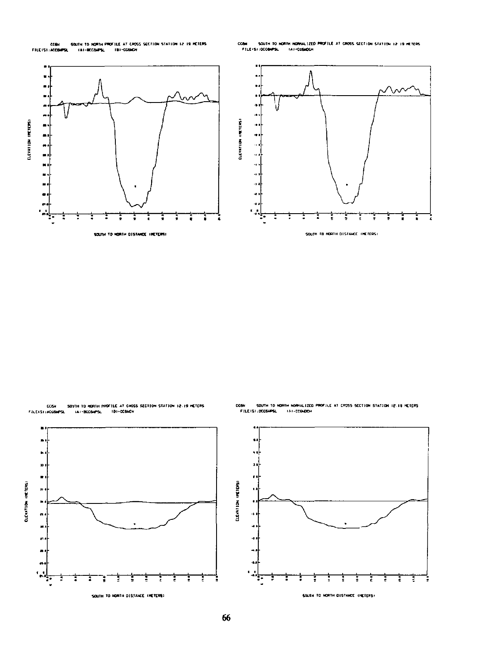:<br>Sauth to horth profile at cross section station i2 i9 meters<br>- (a)-becomput - (b)-cognot CEBH<br>FILE ISI : ACCOMPSE

-<br>South to Horth Hornalized Profile at Cross Section Station 12:10 Heters<br>J.OCCOMPSL - TAT-COSKOCH  $ccu$ FILE ISI (OCCOPS)



ECGH ECGH





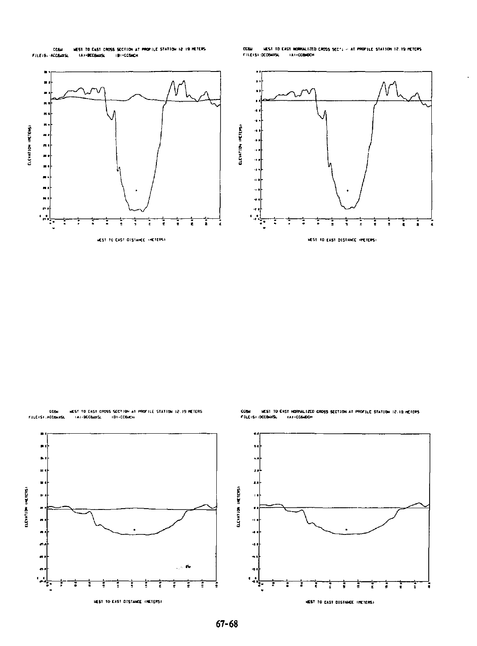COM<br>FILEIR ACCAUTS HEST TO EAST CROSS SECTION AT PROFILE STATION 12 19 HETERS<br>SA>-BECRHIKE == 1B1+CEGNON .<br>Cora – Mest to east nominalized cross sects - at propille station 12.19 meters<br>Fileis: Deobarsa, – Lai-corador



HEST TO EAST CROSS SECTION AT PROFILE STATION 12.19 METERS<br>TAI-BCGBAXSL - TBI-CCBACH COM COM<br>FILE (SI .ACCOMER

.<br>COBH - HEST TO EAST HORMALIZED CROSS SECTION AT PROFILE STATION 12.19 HEITRS.<br>FILEIS):OCCONOSA - FAI-COBADON

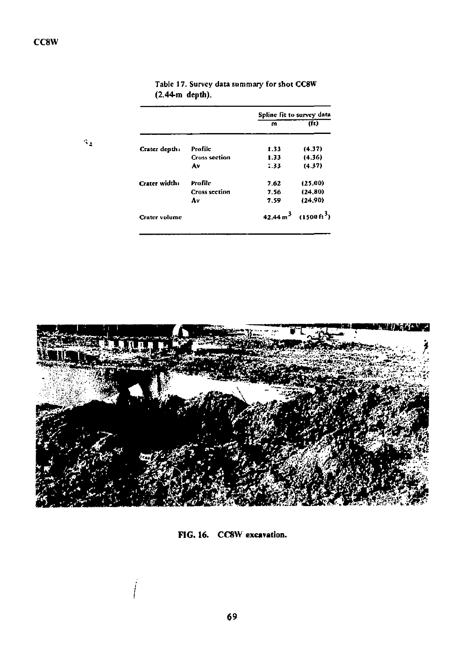$\mathcal{A}_\Delta$ 

|                      |                      | Spline fit to survey data |                                             |
|----------------------|----------------------|---------------------------|---------------------------------------------|
|                      |                      | m                         | (ii)                                        |
| Crater depth:        | Profile              | 1.33                      | (4.37)                                      |
|                      | <b>Cross section</b> | 1.33                      | (4.36)                                      |
|                      | A۷                   | 1.33                      | (4.37)                                      |
| Crater width:        | Profile              | 7.62                      | (25.00)                                     |
|                      | <b>Cross section</b> | 7.56                      | (24.80)                                     |
|                      | A٧                   | 7.59                      | (24.90)                                     |
| <b>Crater volume</b> |                      |                           | $42.44 \text{ m}^3$ (1500 ft <sup>3</sup> ) |

Tabic 17. Survey data summary for shot CC8W (2.44-m depth).



FIG. 16. CC8W excavation.

 $\int$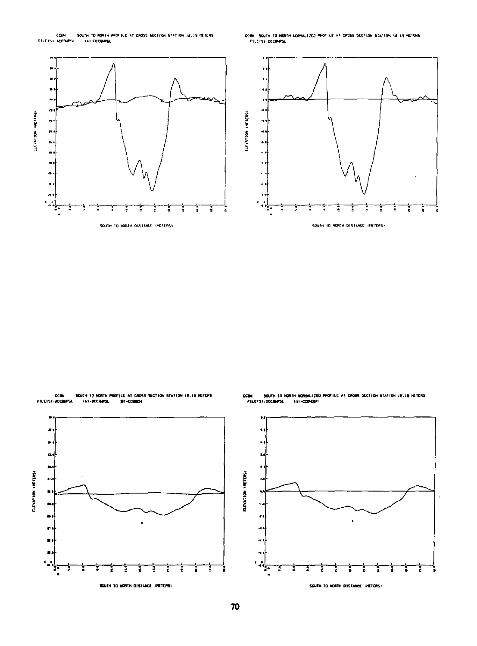

ccaw. South to horth korhaltzed photice at cross section station is 19 herens.<br>- Filershipcomps.

ī

2



COM<br>FILEISH ACCOMPRE



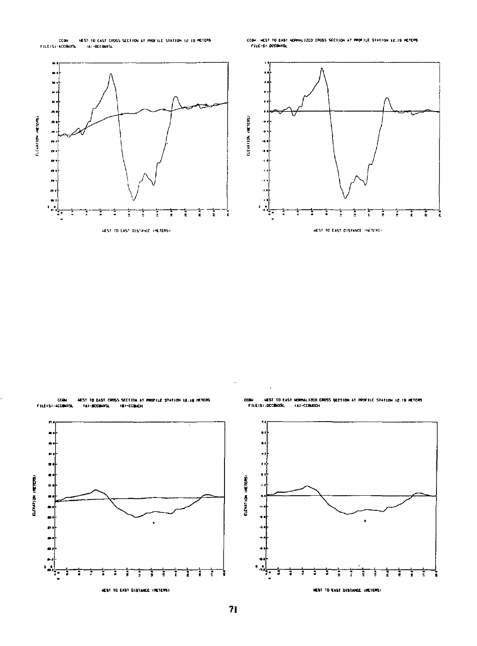

CCOM MEST TO EAST NORMLIZED CROSS SECTION AT PROFILE STATION 12.19 HETERS<br>- FILE/SI-DECONSEL





HEST TO EAST DISTANCE INCTERS!

COM<br>FILE (S) : ACCORATA MEST TO EAST CROSS SECTION AT PROFILE STATION 12.19 METERS<br>|A)-BCCONOSL = (B)-CCONCH

 $\begin{bmatrix} 1 \\ 1 \\ 2 \end{bmatrix}$ **ELTATION (RETERS)**  $\bullet$ è  $\bullet$ ٠  $\frac{1}{2}$ ī HEST TO EAST DISTANCE (METERS)

CCBH HEST TO EAST NORMALIZED CROSS SECTION AT PROFILE STATION 12.19 HETCRS<br>FILE(S)\DCCBOCSL = {A)=CCBADCH

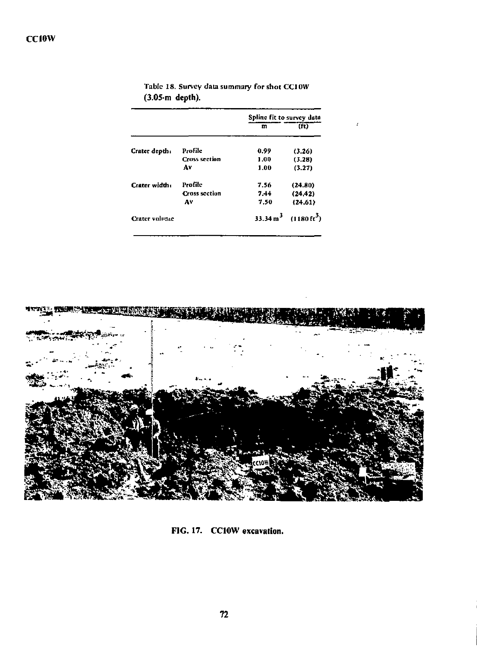|               |                      | Spline fit to survey data |                                              |
|---------------|----------------------|---------------------------|----------------------------------------------|
|               |                      | m                         | (ft)                                         |
| Crater depth: | Profile              | 0.99                      | (3.26)                                       |
|               | <b>Cross section</b> | 1.00                      | (3.28)                                       |
|               | A٧                   | 1.00                      | (3.27)                                       |
| Crater width: | Profile              | 7.56                      | (24.80)                                      |
|               | <b>Cross section</b> | 7.44                      | (24.42)                                      |
|               | A٧                   | 7.50                      | (24.61)                                      |
| Crater volume |                      |                           | 33.34 m <sup>3</sup> (1180 ft <sup>3</sup> ) |

**Tabic 18. Survey data summary for shot CCIOW (3.05-m depth).** 



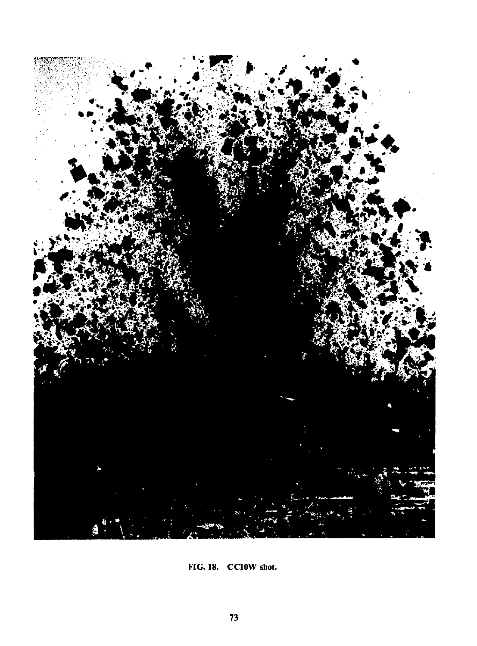

FIG. 18. CC10W shot.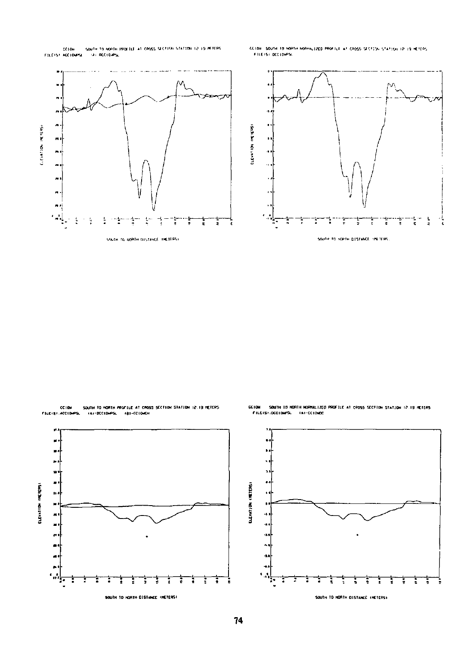CCTON - SQUTH TO MORTH PROTTLE AT CROSS SECTION STATION (2.19 METERS)<br>FILETS? ACCTONPS - TAT RCCTONPS

CC104 SOUTH TO NORTH ROBHALLZED PROFILE AT CROSS SECTION STATION 12-19 HETER:<br>FELETS LOCCLOMPSE



CCION - SQUIN TO HORTH PROFILE AT CROSS SECTION STATION 12-19 HETERS<br>FILETST-ACCIONPSL - TAT-DECIONPSL - TBT-CCIONEN

CCION – SOUTH TO HORTH NORMALIZED PROFILE AT CROSS SECTION STATION 12.19 HETERS<br>- FILEIS):DECIDNPSL – (A)-CCIONOC



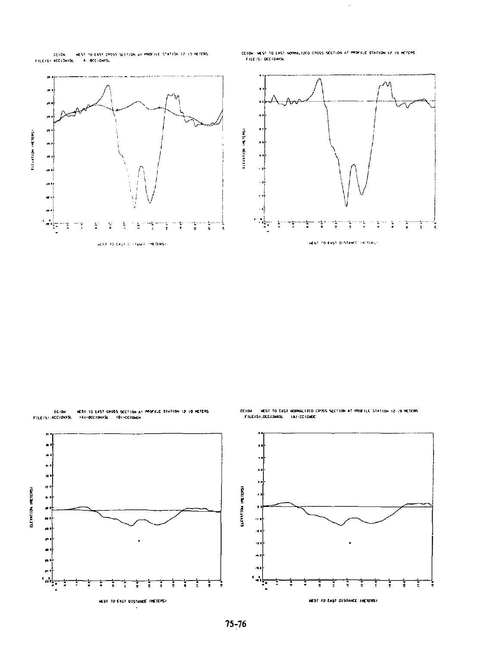

CCION INEST TO EAST NORMALIZED CROSS SECTION AT PROFILE STATION 12:19 HETEAS<br>- FILEIS: DECIONISE

l,



CCION MEST 10 EAST CROSS SECTION AT PROFILE STATION 12-19 HETERS ...<br>FILEISI ACCIONISE - TAT-BOCIONISE - TOT-CCIONEN

CC10H HEST TO EAST HORNALIZED CPOSS SECTION AT PROFILE STATION 12 IS NETCRS.<br>FILE/S):DCCJONASL - IA1-CC10HOC

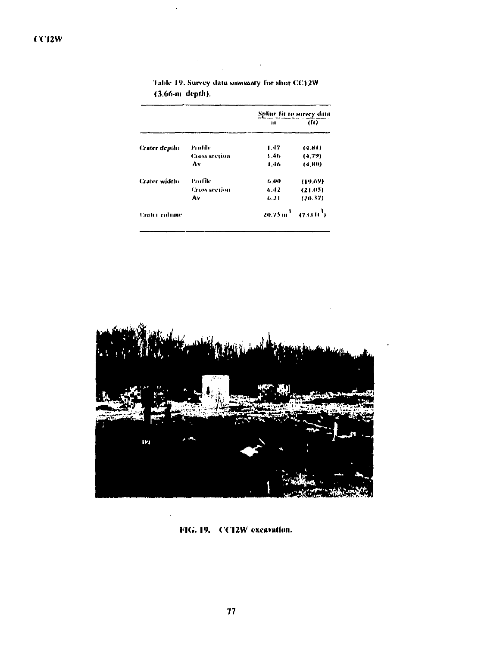|                      |                      | Spline fit to survey data |                                          |
|----------------------|----------------------|---------------------------|------------------------------------------|
|                      |                      | ш                         | (fe)                                     |
| <b>Crater</b> depth: | Profile              | 1.47                      | (1.81)                                   |
|                      | <b>Cross acction</b> | 1.46                      | (4.79)                                   |
|                      | Λ٧                   | 1.46                      | (4.HO)                                   |
| <b>Crater width:</b> | Profile              | 6.00                      | (19.69)                                  |
|                      | <b>Cross section</b> | 6.42                      | (21.05)                                  |
|                      | Λ٧                   | 6.21                      | (20.37)                                  |
| <b>Crater volume</b> |                      |                           | $20.75 \text{ m}^3 - (733 \text{ ft}^3)$ |

Table 19. Survey data summary for shot CC12W (3.66-m depth).



FIG. 19. CC12W excavation.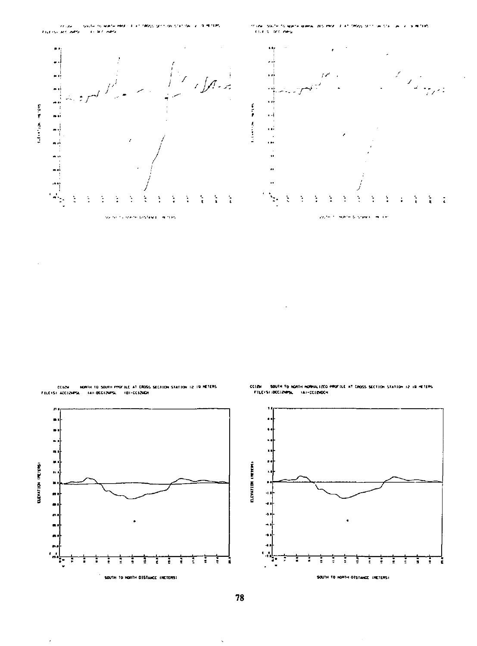

COLOR ... NORTH TO SOUTH PROFILE AT CROSS SECTION STATION 12 IN METERS. FILE IS ACCIDENTS. ... IN FIGURE ...



l,

.<br>Cizni – south to ngath nomellited profect at cross section station is 10 meters.<br>Filefsi:00012445L – fai-0012500M co in



l,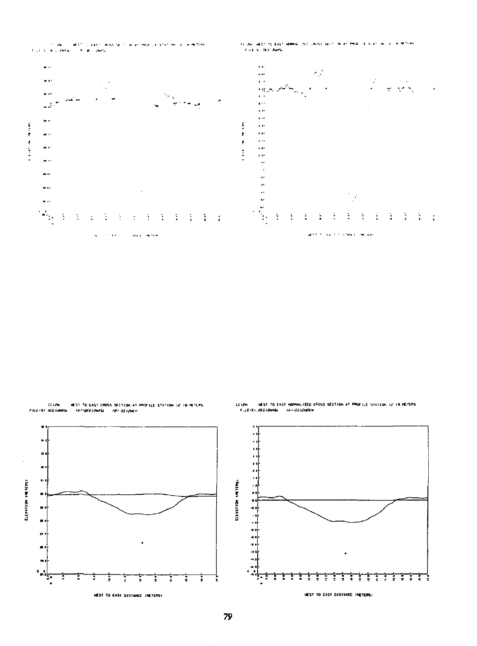

.<br>CLIZN - HEST TO EAST CROSS SECTION AT PROFILE STATION 12 IP PETERS<br>FILETSF ACCIDING - המיליומבראומים - במוניאליימי





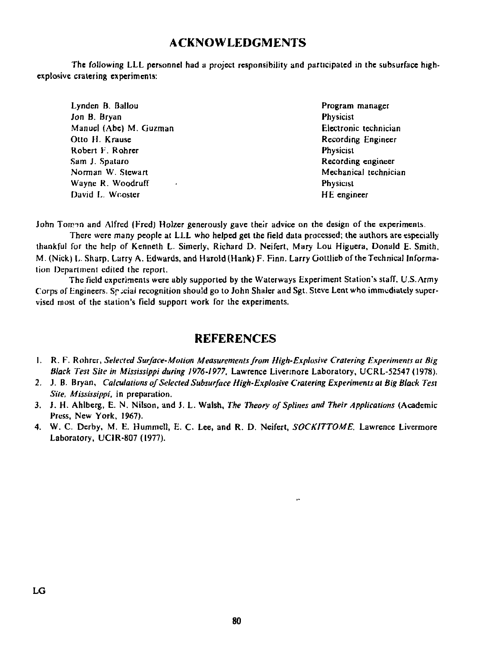## **ACKNOWLEDGMENTS**

**The following LLL personnel had a project responsibility and participated in the subsurface highexplosive cratcring experiments:** 

| Lynden B. Ballou       | Program          |
|------------------------|------------------|
| Jon B. Bryan           | Physicist        |
| Manuel (Abe) M. Guzman | Electroni        |
| Otto H. Krause         | Recordin         |
| Robert F. Rohrer       | <b>Physicist</b> |
| Sam J. Spataro         | Recordin         |
| Norman W. Stewart      | Mechani          |
| Wayne R. Woodruff      | Physicist        |
| David L. Wooster       | HE engi          |

Program manager **Electronic technician Recording Engineer Physicist Recording engineer Mechanical technician HE** engineer

John Tom<sub>3</sub>n and Alfred (Fred) Holzer generously gave their advice on the design of the experiments.

**There were many people at LLL who helped gel the field data processed; the authors are especially thankful for the help of Kenneth L. Simerly, Richard D. Neifert, Mary Lou Higuera, Donald E. Smith. M. (Nick) I,. Sharp, Larry A. Edwards, and Harold (Hank) F. Finn. Larry Gottlieb of the Technical Information Department edited the report.** 

**The field experiments were ably supported by the Waterways Experiment Station's staff, U.S. Army**  Corps of Engineers. So cial recognition should go to John Shaler and Sgt. Steve Lent who immediately super**vised most of the station's field support work for the experiments.** 

## **REFERENCES**

- **R. F. Rohrer,** *Selected Surface-Motion Measurements from High-Explosive Cratering Experiments at Big Black Test Site in Mississippi during 1976-1977.* **Lawrence Livermore Laboratory, UCRL-52547 (1978).**
- **J. B. Bryan,** *Calculations of Selected Subsurface High-Explosive Cratering Experiments at Big Black Test Sile, Mississippi,* **in preparation.**
- **J. H. Ahlberg, E. N. Nilson, and J. L. Walsh,** *The Theory of Splines and Their Applications* **(Academic Press, New York, 1967).**
- **W. C. Derby, M. E. Hummell, E. C. Lee, and R. D. Neifert,** *SOCKITTOME.* **Lawrence Livermore Laboratory, UC1R-807 (1977).**

 $\mathbf{r}$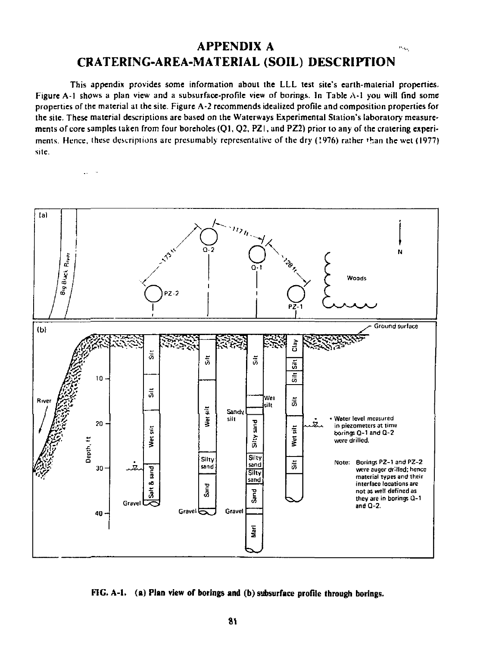#### **APPENDIX A**   $\hat{P}_{\rm{Mag}}$ **CRATERING-AREA-MATERIAL (SOIL) DESCRIPTION**

This appendix provides some information about the LLL lest site's earth-material properties. Figure A-l shows a plan view and a subsurface-profile view of borings. In Table A-l you will find some properties of the material at the site. Figure A-2 recommends idealized profile and composition properties for the site. These material descriptions are based on the Waterways Experimental Station's laboratory measure' ments of core samples taken from four boreholes (Q1, Q2, PZ), and PZ2) prior to any of the cratering experiments. Hence, these descriptions are presumably representative of the dry (!976) rather 'ban the wcl (1977) site.

 $\mathbf{A}$ 



**FIG. A-l. (a) Plan view of borings and (b) subsurface profile through borings.**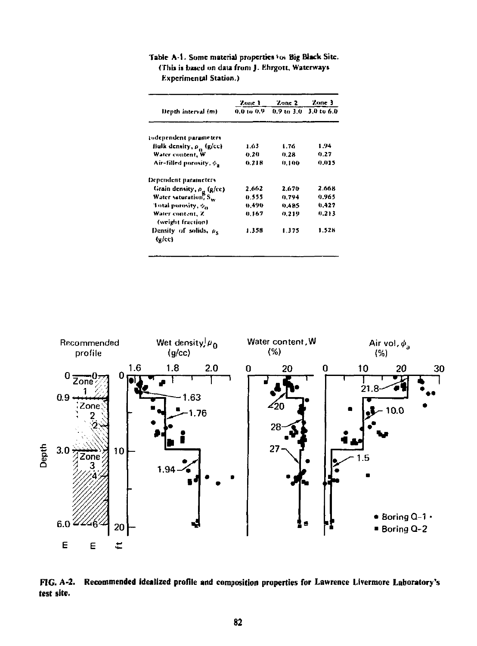|                                                                    | Zone 1   | Zone 2 | Zone 3<br>$0.9$ to $3.0 - 3.0$ to $6.0$ |  |
|--------------------------------------------------------------------|----------|--------|-----------------------------------------|--|
| Depth interval (m)                                                 | 0.0100.9 |        |                                         |  |
| isdependent parameters                                             |          |        |                                         |  |
| Bulk density, p., (g/cc)                                           | 1.63     | 1.76   | 1.94                                    |  |
| Water content, W                                                   | 0.20     | 0.28   | 0.27                                    |  |
| Air-filled porosity, $\phi_{\mathbf{a}}$                           | 0.218    | 0.100  | 0.015                                   |  |
| Dependent parameters                                               |          |        |                                         |  |
|                                                                    | 2.662    | 2.670  | 2.668                                   |  |
| Grain density, $\rho_g$ (g/cc)<br>Water vaturation, S <sub>w</sub> | 0.555    | 0.794  | 0.965                                   |  |
| Total porosity, $\phi_n$                                           | 0.490    | 0.485  | 0.427                                   |  |
| Water content, Z<br>(weight fraction)                              | 0.167    | 0.219  | 0.213                                   |  |
| Density of solids, p.<br>(g/cc)                                    | 1.358    | 1.375  | 1.528                                   |  |

Table A-1. Some material properties to: Big Black Site. (This is based on data from J. Ehrgott, Waterways Experimental Station.)



FIG. A-2. Recommended idealized profile and composition properties for Lawrence Livermore Laboratory's test site.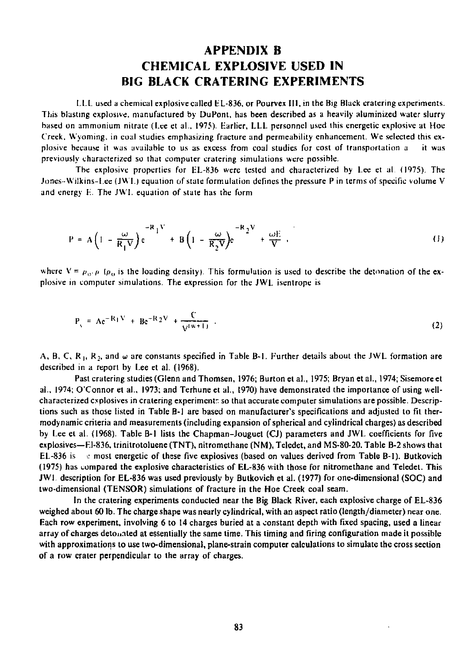# **APPENDIX B CHEMICAL EXPLOSIVE USED IN BIG BLACK CRATERING EXPERIMENTS**

LLL used a chemical explosive called EL-836, or Pourvex III, in the Big Black cratering experiments. This blasting explosive, manufactured by DuPont, has been described as a heavily aluminized water slurry based on ammonium nitrate (Lee et al., 1975). Harlier, I.LL personnel used this energetic explosive at Hoe Creek. Wyoming, in coal studies emphasizing fracture and permeability enhancement. We selected this explosive because it was available to us as excess from coal studies for cost of transportation a it was previously characterized so that computer cratcring simulations were possible.

The explosive properties for EL-836 were tested and characterized by Lee et al. (1975). The Jones-Wi!kins-Lee (JVVL) equation of state formulation defines the pressure P in terms of specific volume V and energy E. The JWI. equation of state has the form

$$
P = A \left( 1 - \frac{\omega}{R_1 V} \right) e^{-R_1 V} + B \left( 1 - \frac{\omega}{R_2 V} \right) e^{-R_2 V} + \frac{\omega E}{V} . \tag{1}
$$

where  $V = \rho_0/\rho_0$  ( $\rho_0$  is the loading density). This formulation is used to describe the detonation of the explosive in computer simulations. The expression for the JWL isentrope is

$$
P_{y} = Ae^{-R_1V} + Be^{-R_2V} + \frac{C}{V^{(w+1)}}.
$$
 (2)

A, B, C, R<sub>1</sub>, R<sub>2</sub>, and  $\omega$  are constants specified in Table B-1. Further details about the JWL formation are described in a report by Lee et al. (1968).

Past cratering studies (Glenn and Thomsen, 1976; Burton el al.. 1975; Bryan et al., 1974; Sisemoreet al., 1974; O'Connor el al., 1973; and Terhune et al., 1970) have demonstrated the importance of using wellcharacterized explosives in cratering experiment: so that accurate computer simulations are possible. Descriptions such as those listed in Table B-l are based on manufacturer's specifications and adjusted to fit thermodynamic criteria and measurements (including expansion of spherical and cylindrical charges) as described by Lee el al. (1968). Table B-l lists the Chapman-Jouguet (CJ) parameters and JWL coefficients for five explosives—FJ-836, trinitrotoluene (TNT), nitromethane (NM), Tcledet, and MS-80-20. Table B-2 shows that EL-836 is  $\cdot$  most energetic of these five explosives (based on values derived from Table B-1). Butkovich (1975) has compared the explosive characteristics of EL-836 with those for nitromethane and Teledet. This JWI description for EL-836 was used previously by Butkovich et al. (1977) for one-dimensional (SOC) and two-dimensional (TENSOR) simulations of fracture in the Hoe Creek coal seam.

In the cratering experiments conducted near the Big Black River, each explosive charge of EL-836 weighed about 60 lb. The charge shape was nearly cylindrical, with an aspect ratio (length/diameter) near one. Each row experiment, involving 6 to 14 charges buried at a constant depth with fixed spacing, used a linear array of charges detonated at essentially the same time. This timing and firing configuration made it possible with approximations to use two-dimensional, plane-strain computer calculations to simulate the cross section of a row crater perpendicular to the array of charges.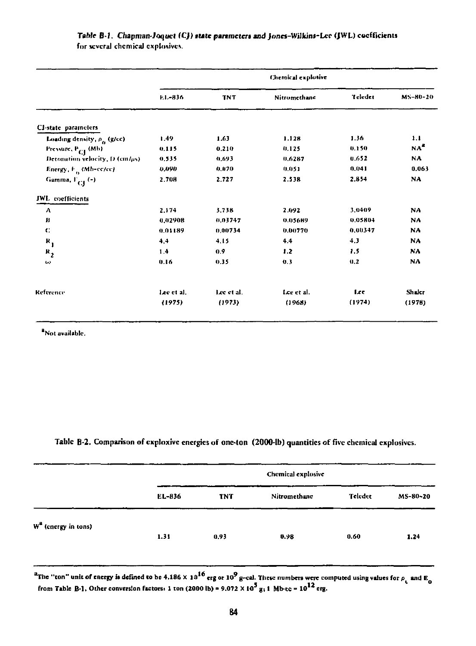|                                   | Chemical explosive |            |              |         |                 |  |
|-----------------------------------|--------------------|------------|--------------|---------|-----------------|--|
|                                   | EL-836             | <b>TNT</b> | Nitromethane | Teleder | MS-80-20        |  |
| CI-state parameters               |                    |            |              |         |                 |  |
| Loading density, p. (g/cc)        | 1.49               | 1.63       | 1.128        | 1.36    | 1.1             |  |
| Pressure, P <sub>CI</sub> (Mb)    | 0.115              | 0.210      | 0.125        | 0.150   | NA <sup>2</sup> |  |
| Detonation velocity, D (cm/us)    | 0.535              | 0.693      | 0.6287       | 0.652   | NA.             |  |
| Energy, F <sub>o</sub> (Mb-cc/cc) | 0,090              | 0.070      | 0.051        | 0.041   | 0.063           |  |
| Gamma, F <sub>CI</sub> (-)        | 2.708              | 2.727      | 2.538        | 2.854   | NA              |  |
| JWL coefficients                  |                    |            |              |         |                 |  |
| $\lambda$                         | 2.174              | 3.738      | 2.092        | 3.0409  | <b>NA</b>       |  |
| В                                 | 0.02908            | 0.03747    | 0.05689      | 0.05804 | NA              |  |
| C.                                | 0.01189            | 0.00734    | 0.00770      | 0.00347 | NA              |  |
| $R_{1}$                           | 4.4                | 4.15       | 4.4          | 4.3     | NA              |  |
| $R_{2}$                           | 1.4                | 0.9        | 1.2          | 1.5     | NA              |  |
| ω                                 | 0.16               | 0.35       | 0.3          | 0.2     | NA              |  |
| Reference                         | Lee et al.         | Lee et al. | Lee et al.   | Lee     | Shaler          |  |
|                                   | (1975)             | (1973)     | (1963)       | (1974)  | (1978)          |  |

### *Table* B-1. *Chapman-Joquet* (CJ) state parameters and Jones-Wilkins-Lee (JWL) coefficients **for several chemical explosives.**

Not available.

### **Table B-2. Comparison of cxploxivc energies of one-ton (2000-lb) quantities of five chemical explosives.**

|                                 | Chemical explosive |            |              |         |          |  |  |
|---------------------------------|--------------------|------------|--------------|---------|----------|--|--|
|                                 | EL-836             | <b>TNT</b> | Nitromethane | Teledet | MS-80-20 |  |  |
| W <sup>a</sup> (energy in tons) | 1.31               | 0.93       | 0.98         | 0.60    | 1.24     |  |  |

<sup>\*</sup>The "ton" unit of energy is defined to be 4,186 X 10<sup>10</sup> erg or 10<sup>7</sup> g-cal. These numbers were computed using values for  $\rho$  and E<sub>0</sub><br>• from Table B-1. Other conversion features 1 ton (2000 lb) a 0.022 X 10<sup>5</sup> m-1. N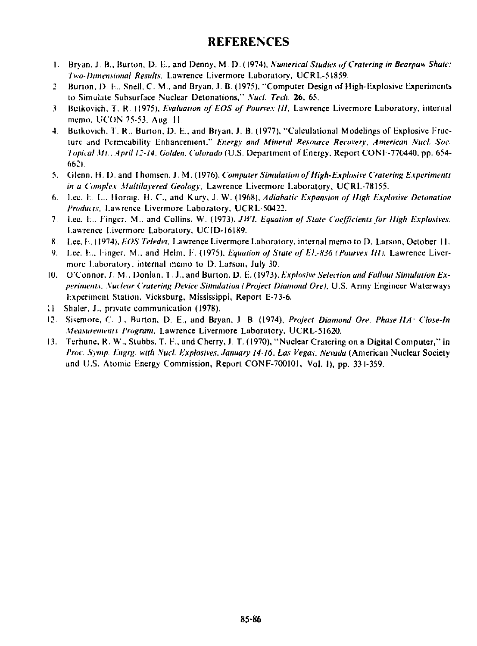### **REFERENCES**

- 1. Bryan. J. B., Burton. D. B.. and Denny. M. D.(I974). *Numerical Studies of'Craiering in Bearpaw-Shale: Two-Dimensional Results,* Lawrence Livermore Laboratory. UCRL-51859.
- 2. Burton, D. *I...* Snell, C. M.. and Bryan..?. B. (1975). "Computer Design of High-Explosive Experiments to Simulate Subsurface Nuclear Detonations." *Xucl. Tech.* 26. 65.
- 3. Bulkovieh, T, R. (1975). *Evaluation of EOS of Pourvex III.* Lawrence Livermore Laboratory, internal memo, UCON 75-53. Aug. 11.
- 4. Butkovich. T. R.. Burton. D. L., and Bryan. J. B. (1977), "Calculalional Modelings of Explosive Fracture and Permeability Enhancement," *Energy and Mineral Resource Recovery. American Nucl. Soc. Topical Mt. April 12-14. Golden. Colorado {U.S.* Department of Energy, Report CONF-770440. pp. 654- 662).
- 5. Cilenn. H. D. and Thomsen, J. M. (1976), *Computer Simulation of High-Explosive Cratering Experiments in a Complex Multilayered Geology.* Lawrence Livermore Laboratory, UCRL-78155.
- 6. Let\*. L. I... Mornig. H. C, and Kury. J. W. (1968). *Adiahatic Expansion of High Explosive Detonation Products.* Lawrence Livermore Laboratory, UCRL-50422.
- 7. Lee. 1... Linger. M.. and Collins. W. (1973). *JWL Equation of Stale Coefficients for High Explosives.*  Lawrence Livermore Laboratory, UCTD-I6I89.
- 8. Lee. F, (1974). *EOSTeledet.* Lawrence Livermore Laboratory, internal memo to D. Larson, October 11.
- 9. Lee, L., linger, M.. and Helm. F. (1975). *Equation of State of E1.-S36 {Pourvex /lit.* Lawrence Livermore Laboratory, internal memo lo D. Larson, July 30.
- 10. O'Connor, J. VL, Donlan, T. J., and Burton. D. E. (1973), *Explosive Selection and Fallout Simulation Experiments. Suclear Cratering Device Simulation I Project Diamond Ore).* U.S. Army Engineer Waterways Experiment Station, Vjcksburg, Mississippi, Report E-73-6.
- 11 Shaler. J., private communication (1978).
- 12. Sisemore, C. J., Burton, D. E., and Bryan. J. B. (1974), *Project Diamond Ore. Phase HA: Close-In Measurements Program.* Lawrence Livermore Laboratory, UCRL-51620.
- 13. Terhune. R. W., Slubbs. T. F\, and Cherry, J. T. (1970), "Nuclear Craiering on a Digital Computer," in *Proc. Symp. Engrg. with* AW. *Explosives. January 14-16. Las Vegas. Nevada* (American Nuclear Society and U.S. Atomic Energy Commission, Report CONF-700101, Vol. 1), pp. 331-359.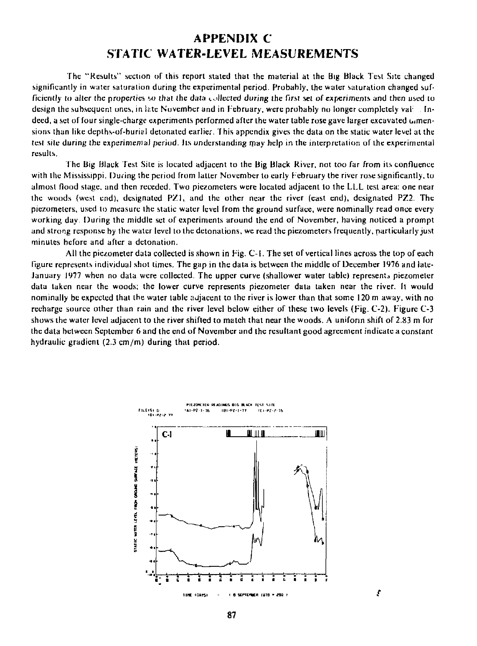## **APPENDIX C STATIC WATER-LEVEL MEASUREMENTS**

The "Results" section of this report staled that the material at the Big Black 'lest Site changed significantly in water saturation during the experimental period. Probably, the water saturation changed sufficiently to ailcr the *properties w* that the data <.,.>)Jected during the first set of experiments and then used to design the subsequent ones, in late November and in February, were probably no longer completely val: Indeed, a set of four single-charge experiments performed after the water table rose gave larger excavated dimensions than like depths-of-burial detonated earlier. This appendix gives the data on the static water level at the *lest site during the experimental period.* Its understanding may help in the interpretation of the experimental results.

The Big Black Test Site is located adjacent to the Big Black River, not too far from its confluence with the Mississippi. During the period from latter November to early February the river rose significantly, to almost flood stage, and then receded. Two piezometers were located adjacent to the LLL test area: one near the woods (west end), designated PZ1, and the other near the river (east end), designated PZ2. The piezometers, used to measure the static water level from the ground surface, were nominally read once every working day. During the middle set of experiments around the end of November, having noticed a prompt and strong response by the water level to the detonations, we read the piezometers frequently, particularly just minutes before and after a detonation.

All the piezometer data collected is shown in Fig. C-1. The set of vertical lines across the lop of each figure represents individual shot limes. The gap in the data is between the middle of December 1976 and late-January 1977 when no data were collected. The upper curve (shallower water table) represents piezometer data taken near the woods; the lower curve represents piezometer data taken near the river. It would nominally be expected that the water table adjacent to the river is lower than that some 120 m away, with no recharge source other than rain and the river level below either of these two levels (Fig. C-2). Figure C-3 shows the water level adjacent to the river shifted to match that near the woods. A uniform shift of 2.83 m for the data belween September 6 and the end of November and the resultant good agreement indicate a constant hydraulic gradient (2.3 cm/m) during that period.



ŧ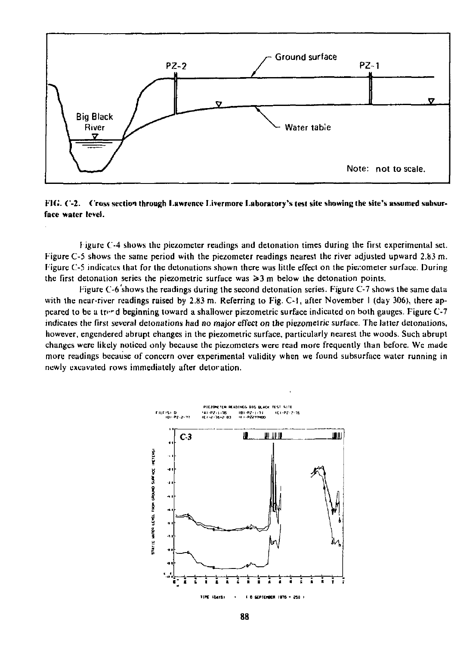

*FIG.* C-2. Cross section through Lawrence Livermore Laboratory's test site showing the site's assumed subsurface water level.

J igure C-4 shows the piezometer readings and detonation times during the first experimental set. Figure C-5 shows the same period with the piezometer readings nearest the river adjusted upward 2.83 m. Figure C-5 indicates that for the detonations shown there was little effect on the piezometer surface. During the first detonation series the piezometric surface was  $\geq 3$  m below the detonation points.

Figure C-6 shows the readings during the second detonation series. Figure C-7 shows the same data with the near-river readings raised by 2.83 m. Referring to Fig. C-1, after November 1 (day 306), there appeared to be a tree d beginning toward a shallower piezometric surface indicated on both gauges. Figure C-7 indicates the first several detonations had *no* major effect *on* the piezomelric surface. The latter detonations, however, engendered abrupt changes in the piezometric surface, particularly nearest the woods. Such abrupt changes were likely noticed only because the piezometers were read more frequently than before. We made more readings because of concern over experimental validity when we found subsurface water running in newly excavated rows immediately after deloration.

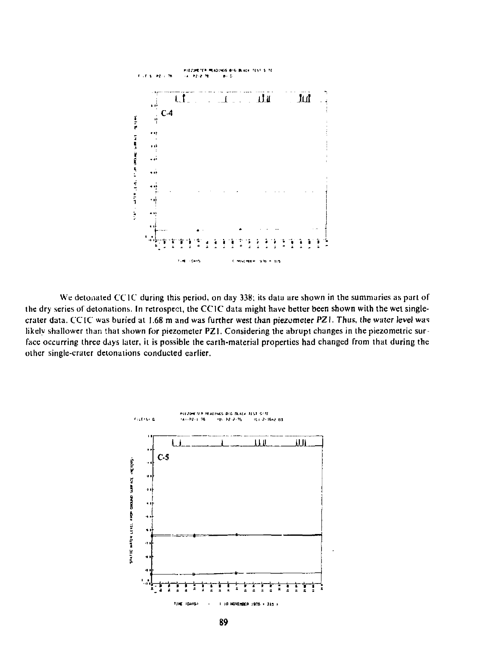

We detonated CC1C during this period, on day 338; its data are shown in the summaries as part of the dry series of detonations. In retrospect, the CC1C data might have better been shown with the wet singlecrater data. CC1C was buried at 1.68 m and was further west than piezometer PZ1. Thus, the water level was likely shallower than that shown for piezometer PZ1. Considering the abrupt changes in the piezometric surface occurring three days later, it is possible the earth-material properties had changed from that during the other single-crater detonations conducted earlier.

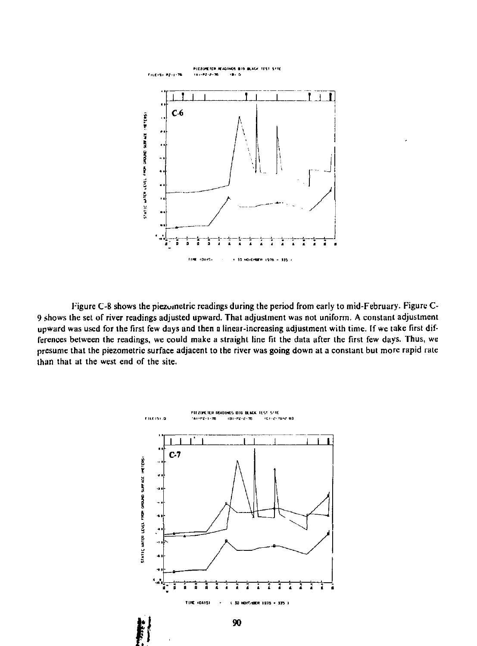

**Figure C-8 shows the piezuinetric readings during the period from early to mid-February. Figure C-9 shows the set of river readings adjusted upward. That adjustment was not uniform. A constant adjustment upward was used for the first few days and then a linear-increasing adjustment with time, [f we take first differences between the readings, we could make a straight line fit the data after the first few days. Thus, we presume that the piezometric surface adjacent to the river was going down at a constant but more rapid rate than that at the west end of the site.** 

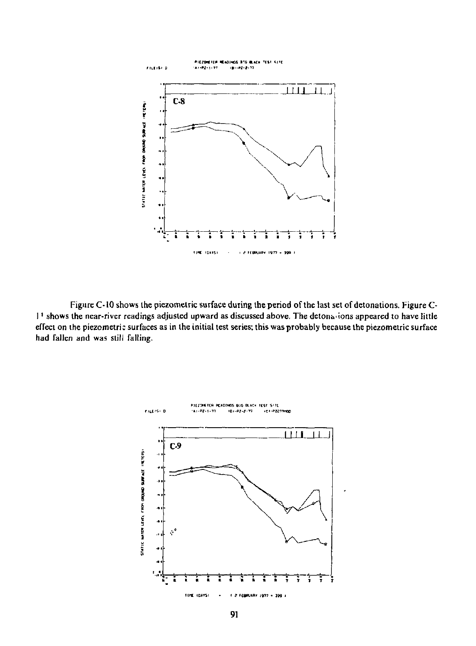

Figure C-10 shows the piezometric surface during the period of the last set of detonations. Figure Cl' shows the near-river readings adjusted upward as discussed above. The detonu'ions appeared to have little effect on the piezometric surfaces as in the initial test series; this was probably because the piezometric surface had fallen and was still falling.